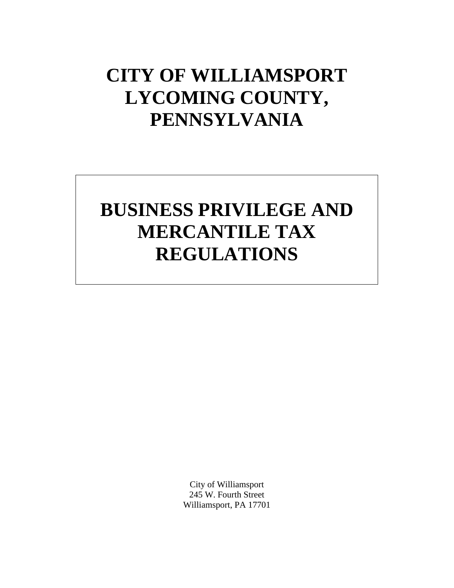# **CITY OF WILLIAMSPORT LYCOMING COUNTY, PENNSYLVANIA**

# **BUSINESS PRIVILEGE AND MERCANTILE TAX REGULATIONS**

City of Williamsport 245 W. Fourth Street Williamsport, PA 17701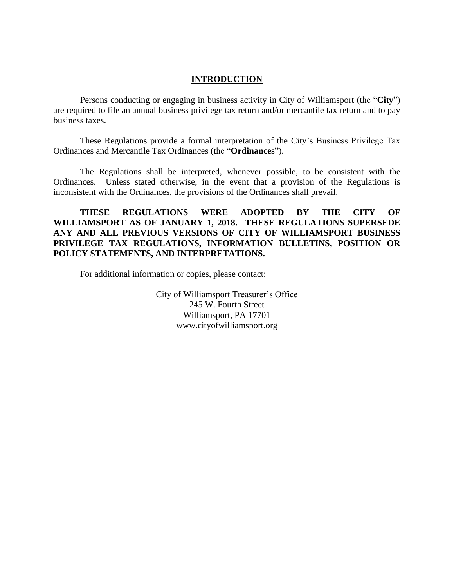#### **INTRODUCTION**

Persons conducting or engaging in business activity in City of Williamsport (the "**City**") are required to file an annual business privilege tax return and/or mercantile tax return and to pay business taxes.

These Regulations provide a formal interpretation of the City's Business Privilege Tax Ordinances and Mercantile Tax Ordinances (the "**Ordinances**").

The Regulations shall be interpreted, whenever possible, to be consistent with the Ordinances. Unless stated otherwise, in the event that a provision of the Regulations is inconsistent with the Ordinances, the provisions of the Ordinances shall prevail.

#### **THESE REGULATIONS WERE ADOPTED BY THE CITY OF WILLIAMSPORT AS OF JANUARY 1, 2018. THESE REGULATIONS SUPERSEDE ANY AND ALL PREVIOUS VERSIONS OF CITY OF WILLIAMSPORT BUSINESS PRIVILEGE TAX REGULATIONS, INFORMATION BULLETINS, POSITION OR POLICY STATEMENTS, AND INTERPRETATIONS.**

For additional information or copies, please contact:

City of Williamsport Treasurer's Office 245 W. Fourth Street Williamsport, PA 17701 www.cityofwilliamsport.org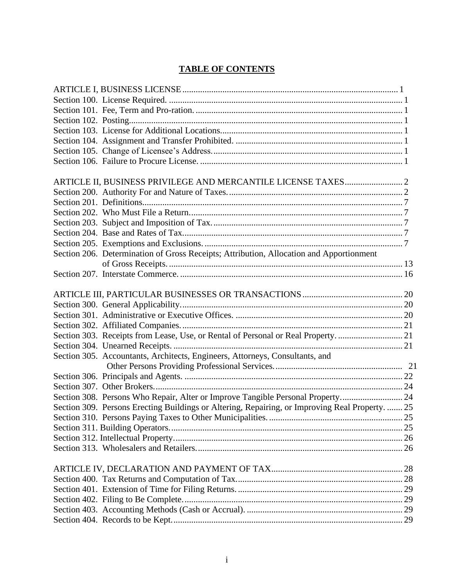## **TABLE OF CONTENTS**

| Section 206. Determination of Gross Receipts; Attribution, Allocation and Apportionment         |  |
|-------------------------------------------------------------------------------------------------|--|
|                                                                                                 |  |
|                                                                                                 |  |
|                                                                                                 |  |
|                                                                                                 |  |
|                                                                                                 |  |
|                                                                                                 |  |
| Section 303. Receipts from Lease, Use, or Rental of Personal or Real Property.  21              |  |
|                                                                                                 |  |
| Section 305. Accountants, Architects, Engineers, Attorneys, Consultants, and                    |  |
|                                                                                                 |  |
|                                                                                                 |  |
|                                                                                                 |  |
| Section 308. Persons Who Repair, Alter or Improve Tangible Personal Property 24                 |  |
| Section 309. Persons Erecting Buildings or Altering, Repairing, or Improving Real Property.  25 |  |
|                                                                                                 |  |
|                                                                                                 |  |
|                                                                                                 |  |
|                                                                                                 |  |
|                                                                                                 |  |
|                                                                                                 |  |
|                                                                                                 |  |
|                                                                                                 |  |
|                                                                                                 |  |
|                                                                                                 |  |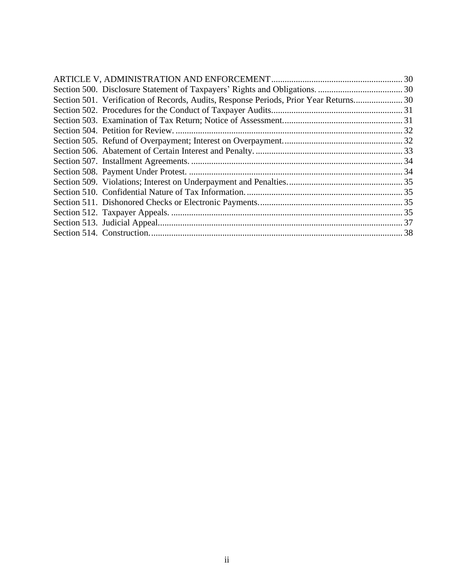| Section 501. Verification of Records, Audits, Response Periods, Prior Year Returns 30 |  |
|---------------------------------------------------------------------------------------|--|
|                                                                                       |  |
|                                                                                       |  |
|                                                                                       |  |
|                                                                                       |  |
|                                                                                       |  |
|                                                                                       |  |
|                                                                                       |  |
|                                                                                       |  |
|                                                                                       |  |
|                                                                                       |  |
|                                                                                       |  |
|                                                                                       |  |
|                                                                                       |  |
|                                                                                       |  |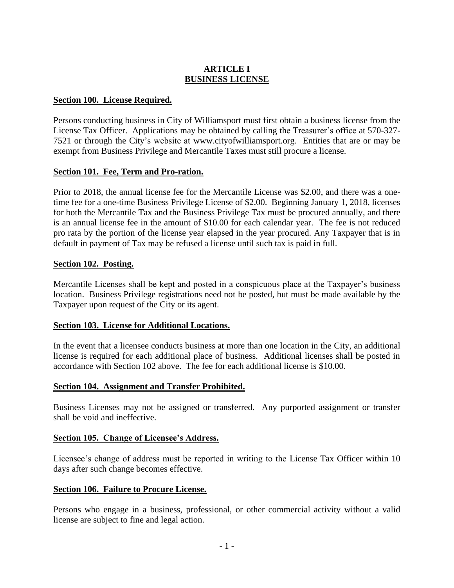## **ARTICLE I BUSINESS LICENSE**

#### **Section 100. License Required.**

Persons conducting business in City of Williamsport must first obtain a business license from the License Tax Officer. Applications may be obtained by calling the Treasurer's office at 570-327- 7521 or through the City's website at [www.cityofwilliamsport.org.](http://www.cityofwilliamsport.org/) Entities that are or may be exempt from Business Privilege and Mercantile Taxes must still procure a license.

#### **Section 101. Fee, Term and Pro-ration.**

Prior to 2018, the annual license fee for the Mercantile License was \$2.00, and there was a onetime fee for a one-time Business Privilege License of \$2.00. Beginning January 1, 2018, licenses for both the Mercantile Tax and the Business Privilege Tax must be procured annually, and there is an annual license fee in the amount of \$10.00 for each calendar year. The fee is not reduced pro rata by the portion of the license year elapsed in the year procured. Any Taxpayer that is in default in payment of Tax may be refused a license until such tax is paid in full.

#### **Section 102. Posting.**

Mercantile Licenses shall be kept and posted in a conspicuous place at the Taxpayer's business location. Business Privilege registrations need not be posted, but must be made available by the Taxpayer upon request of the City or its agent.

#### **Section 103. License for Additional Locations.**

In the event that a licensee conducts business at more than one location in the City, an additional license is required for each additional place of business. Additional licenses shall be posted in accordance with Section 102 above. The fee for each additional license is \$10.00.

#### **Section 104. Assignment and Transfer Prohibited.**

Business Licenses may not be assigned or transferred. Any purported assignment or transfer shall be void and ineffective.

#### **Section 105. Change of Licensee's Address.**

Licensee's change of address must be reported in writing to the License Tax Officer within 10 days after such change becomes effective.

#### **Section 106. Failure to Procure License.**

Persons who engage in a business, professional, or other commercial activity without a valid license are subject to fine and legal action.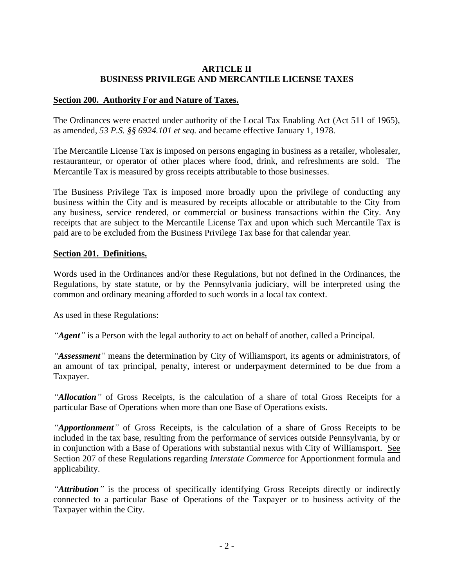## **ARTICLE II BUSINESS PRIVILEGE AND MERCANTILE LICENSE TAXES**

#### **Section 200. Authority For and Nature of Taxes.**

The Ordinances were enacted under authority of the Local Tax Enabling Act (Act 511 of 1965), as amended, *53 P.S. §§ 6924.101 et seq.* and became effective January 1, 1978.

The Mercantile License Tax is imposed on persons engaging in business as a retailer, wholesaler, restauranteur, or operator of other places where food, drink, and refreshments are sold. The Mercantile Tax is measured by gross receipts attributable to those businesses.

The Business Privilege Tax is imposed more broadly upon the privilege of conducting any business within the City and is measured by receipts allocable or attributable to the City from any business, service rendered, or commercial or business transactions within the City. Any receipts that are subject to the Mercantile License Tax and upon which such Mercantile Tax is paid are to be excluded from the Business Privilege Tax base for that calendar year.

#### **Section 201. Definitions.**

Words used in the Ordinances and/or these Regulations, but not defined in the Ordinances, the Regulations, by state statute, or by the Pennsylvania judiciary, will be interpreted using the common and ordinary meaning afforded to such words in a local tax context.

As used in these Regulations:

*"Agent"* is a Person with the legal authority to act on behalf of another, called a Principal.

*"Assessment"* means the determination by City of Williamsport, its agents or administrators, of an amount of tax principal, penalty, interest or underpayment determined to be due from a Taxpayer.

*"Allocation"* of Gross Receipts, is the calculation of a share of total Gross Receipts for a particular Base of Operations when more than one Base of Operations exists.

*"Apportionment"* of Gross Receipts, is the calculation of a share of Gross Receipts to be included in the tax base, resulting from the performance of services outside Pennsylvania, by or in conjunction with a Base of Operations with substantial nexus with City of Williamsport. See Section 207 of these Regulations regarding *Interstate Commerce* for Apportionment formula and applicability.

*"Attribution"* is the process of specifically identifying Gross Receipts directly or indirectly connected to a particular Base of Operations of the Taxpayer or to business activity of the Taxpayer within the City.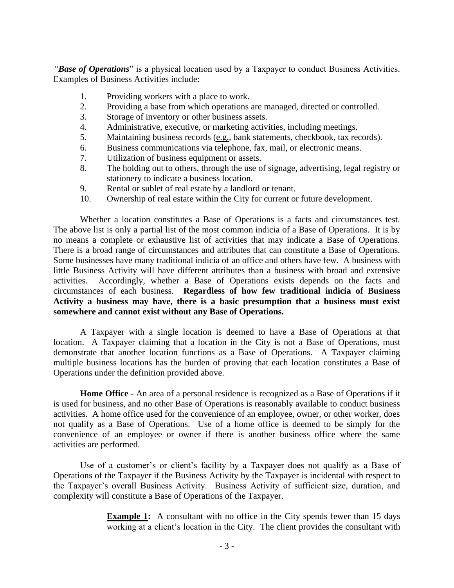*"Base of Operations*" is a physical location used by a Taxpayer to conduct Business Activities. Examples of Business Activities include:

- 1. Providing workers with a place to work.
- 2. Providing a base from which operations are managed, directed or controlled.
- 3. Storage of inventory or other business assets.
- 4. Administrative, executive, or marketing activities, including meetings.
- 5. Maintaining business records (e.g., bank statements, checkbook, tax records).
- 6. Business communications via telephone, fax, mail, or electronic means.
- 7. Utilization of business equipment or assets.
- 8. The holding out to others, through the use of signage, advertising, legal registry or stationery to indicate a business location.
- 9. Rental or sublet of real estate by a landlord or tenant.
- 10. Ownership of real estate within the City for current or future development.

Whether a location constitutes a Base of Operations is a facts and circumstances test. The above list is only a partial list of the most common indicia of a Base of Operations. It is by no means a complete or exhaustive list of activities that may indicate a Base of Operations. There is a broad range of circumstances and attributes that can constitute a Base of Operations. Some businesses have many traditional indicia of an office and others have few. A business with little Business Activity will have different attributes than a business with broad and extensive activities. Accordingly, whether a Base of Operations exists depends on the facts and circumstances of each business. **Regardless of how few traditional indicia of Business Activity a business may have, there is a basic presumption that a business must exist somewhere and cannot exist without any Base of Operations.**

A Taxpayer with a single location is deemed to have a Base of Operations at that location. A Taxpayer claiming that a location in the City is not a Base of Operations, must demonstrate that another location functions as a Base of Operations. A Taxpayer claiming multiple business locations has the burden of proving that each location constitutes a Base of Operations under the definition provided above.

**Home Office** - An area of a personal residence is recognized as a Base of Operations if it is used for business, and no other Base of Operations is reasonably available to conduct business activities. A home office used for the convenience of an employee, owner, or other worker, does not qualify as a Base of Operations. Use of a home office is deemed to be simply for the convenience of an employee or owner if there is another business office where the same activities are performed.

Use of a customer's or client's facility by a Taxpayer does not qualify as a Base of Operations of the Taxpayer if the Business Activity by the Taxpayer is incidental with respect to the Taxpayer's overall Business Activity. Business Activity of sufficient size, duration, and complexity will constitute a Base of Operations of the Taxpayer.

> **Example 1:** A consultant with no office in the City spends fewer than 15 days working at a client's location in the City. The client provides the consultant with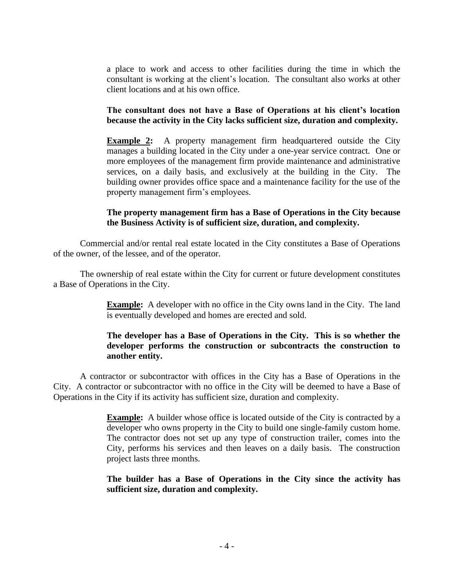a place to work and access to other facilities during the time in which the consultant is working at the client's location. The consultant also works at other client locations and at his own office.

#### **The consultant does not have a Base of Operations at his client's location because the activity in the City lacks sufficient size, duration and complexity.**

**Example 2:** A property management firm headquartered outside the City manages a building located in the City under a one-year service contract*.* One or more employees of the management firm provide maintenance and administrative services, on a daily basis, and exclusively at the building in the City. The building owner provides office space and a maintenance facility for the use of the property management firm's employees.

#### **The property management firm has a Base of Operations in the City because the Business Activity is of sufficient size, duration, and complexity.**

Commercial and/or rental real estate located in the City constitutes a Base of Operations of the owner, of the lessee, and of the operator.

The ownership of real estate within the City for current or future development constitutes a Base of Operations in the City.

> **Example:** A developer with no office in the City owns land in the City. The land is eventually developed and homes are erected and sold.

#### **The developer has a Base of Operations in the City. This is so whether the developer performs the construction or subcontracts the construction to another entity.**

A contractor or subcontractor with offices in the City has a Base of Operations in the City. A contractor or subcontractor with no office in the City will be deemed to have a Base of Operations in the City if its activity has sufficient size, duration and complexity.

> **Example:** A builder whose office is located outside of the City is contracted by a developer who owns property in the City to build one single-family custom home. The contractor does not set up any type of construction trailer, comes into the City, performs his services and then leaves on a daily basis. The construction project lasts three months.

> **The builder has a Base of Operations in the City since the activity has sufficient size, duration and complexity.**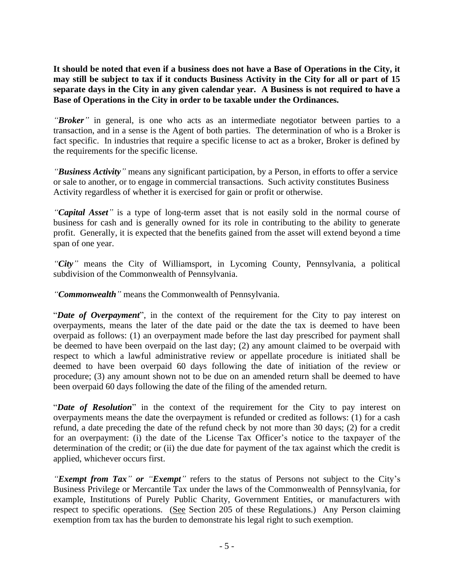**It should be noted that even if a business does not have a Base of Operations in the City, it may still be subject to tax if it conducts Business Activity in the City for all or part of 15 separate days in the City in any given calendar year. A Business is not required to have a Base of Operations in the City in order to be taxable under the Ordinances.**

*"Broker"* in general, is one who acts as an intermediate negotiator between parties to a transaction, and in a sense is the Agent of both parties. The determination of who is a Broker is fact specific. In industries that require a specific license to act as a broker, Broker is defined by the requirements for the specific license.

*"Business Activity"* means any significant participation, by a Person*,* in efforts to offer a service or sale to another, or to engage in commercial transactions. Such activity constitutes Business Activity regardless of whether it is exercised for gain or profit or otherwise.

*"Capital Asset"* is a type of long-term asset that is not easily sold in the normal course of business for cash and is generally owned for its role in contributing to the ability to generate profit. Generally, it is expected that the benefits gained from the asset will extend beyond a time span of one year.

*"City"* means the City of Williamsport, in Lycoming County, Pennsylvania, a political subdivision of the Commonwealth of Pennsylvania.

*"Commonwealth"* means the Commonwealth of Pennsylvania.

"*Date of Overpayment*", in the context of the requirement for the City to pay interest on overpayments, means the later of the date paid or the date the tax is deemed to have been overpaid as follows: (1) an overpayment made before the last day prescribed for payment shall be deemed to have been overpaid on the last day; (2) any amount claimed to be overpaid with respect to which a lawful administrative review or appellate procedure is initiated shall be deemed to have been overpaid 60 days following the date of initiation of the review or procedure; (3) any amount shown not to be due on an amended return shall be deemed to have been overpaid 60 days following the date of the filing of the amended return.

"*Date of Resolution*" in the context of the requirement for the City to pay interest on overpayments means the date the overpayment is refunded or credited as follows: (1) for a cash refund, a date preceding the date of the refund check by not more than 30 days; (2) for a credit for an overpayment: (i) the date of the License Tax Officer's notice to the taxpayer of the determination of the credit; or (ii) the due date for payment of the tax against which the credit is applied, whichever occurs first.

*"Exempt from Tax" or "Exempt"* refers to the status of Persons not subject to the City's Business Privilege or Mercantile Tax under the laws of the Commonwealth of Pennsylvania, for example, Institutions of Purely Public Charity, Government Entities, or manufacturers with respect to specific operations. (See Section 205 of these Regulations.) Any Person claiming exemption from tax has the burden to demonstrate his legal right to such exemption.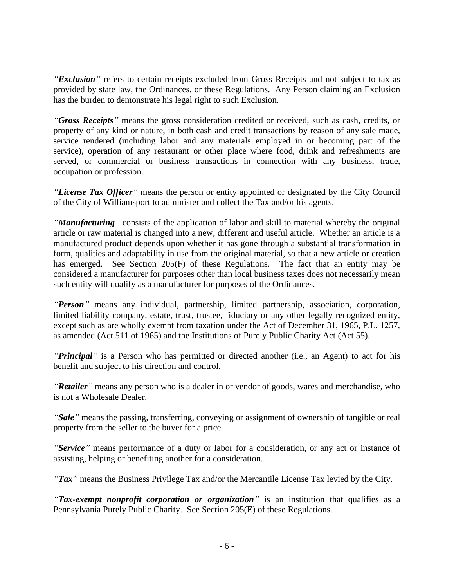*"Exclusion"* refers to certain receipts excluded from Gross Receipts and not subject to tax as provided by state law, the Ordinances, or these Regulations. Any Person claiming an Exclusion has the burden to demonstrate his legal right to such Exclusion.

*"Gross Receipts"* means the gross consideration credited or received, such as cash, credits, or property of any kind or nature, in both cash and credit transactions by reason of any sale made, service rendered (including labor and any materials employed in or becoming part of the service), operation of any restaurant or other place where food, drink and refreshments are served, or commercial or business transactions in connection with any business, trade, occupation or profession.

*"License Tax Officer"* means the person or entity appointed or designated by the City Council of the City of Williamsport to administer and collect the Tax and/or his agents.

*"Manufacturing"* consists of the application of labor and skill to material whereby the original article or raw material is changed into a new, different and useful article. Whether an article is a manufactured product depends upon whether it has gone through a substantial transformation in form, qualities and adaptability in use from the original material, so that a new article or creation has emerged. See Section 205(F) of these Regulations. The fact that an entity may be considered a manufacturer for purposes other than local business taxes does not necessarily mean such entity will qualify as a manufacturer for purposes of the Ordinances.

*"Person"* means any individual, partnership, limited partnership, association, corporation, limited liability company, estate, trust, trustee, fiduciary or any other legally recognized entity, except such as are wholly exempt from taxation under the Act of December 31, 1965, P.L. 1257, as amended (Act 511 of 1965) and the Institutions of Purely Public Charity Act (Act 55).

*"Principal"* is a Person who has permitted or directed another (i.e., an Agent) to act for his benefit and subject to his direction and control.

*"Retailer"* means any person who is a dealer in or vendor of goods, wares and merchandise, who is not a Wholesale Dealer.

*"Sale"* means the passing, transferring, conveying or assignment of ownership of tangible or real property from the seller to the buyer for a price.

*"Service"* means performance of a duty or labor for a consideration, or any act or instance of assisting, helping or benefiting another for a consideration.

*"Tax"* means the Business Privilege Tax and/or the Mercantile License Tax levied by the City.

*"Tax-exempt nonprofit corporation or organization"* is an institution that qualifies as a Pennsylvania Purely Public Charity. See Section 205(E) of these Regulations.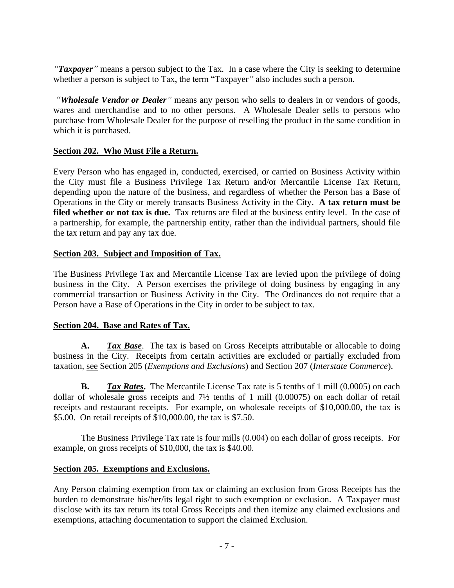*"Taxpayer"* means a person subject to the Tax. In a case where the City is seeking to determine whether a person is subject to Tax, the term "Taxpayer*"* also includes such a person.

*"Wholesale Vendor or Dealer"* means any person who sells to dealers in or vendors of goods, wares and merchandise and to no other persons. A Wholesale Dealer sells to persons who purchase from Wholesale Dealer for the purpose of reselling the product in the same condition in which it is purchased.

#### **Section 202. Who Must File a Return.**

Every Person who has engaged in, conducted, exercised, or carried on Business Activity within the City must file a Business Privilege Tax Return and/or Mercantile License Tax Return, depending upon the nature of the business, and regardless of whether the Person has a Base of Operations in the City or merely transacts Business Activity in the City. **A tax return must be filed whether or not tax is due.** Tax returns are filed at the business entity level. In the case of a partnership, for example, the partnership entity, rather than the individual partners, should file the tax return and pay any tax due.

## **Section 203. Subject and Imposition of Tax.**

The Business Privilege Tax and Mercantile License Tax are levied upon the privilege of doing business in the City. A Person exercises the privilege of doing business by engaging in any commercial transaction or Business Activity in the City. The Ordinances do not require that a Person have a Base of Operations in the City in order to be subject to tax.

## **Section 204. Base and Rates of Tax.**

**A.** *Tax Base*. The tax is based on Gross Receipts attributable or allocable to doing business in the City. Receipts from certain activities are excluded or partially excluded from taxation, see Section 205 (*Exemptions and Exclusions*) and Section 207 (*Interstate Commerce*).

**B.** *Tax Rates*. The Mercantile License Tax rate is 5 tenths of 1 mill (0.0005) on each dollar of wholesale gross receipts and 7½ tenths of 1 mill (0.00075) on each dollar of retail receipts and restaurant receipts. For example, on wholesale receipts of \$10,000.00, the tax is \$5.00. On retail receipts of \$10,000.00, the tax is \$7.50.

The Business Privilege Tax rate is four mills (0.004) on each dollar of gross receipts. For example, on gross receipts of \$10,000, the tax is \$40.00.

#### **Section 205. Exemptions and Exclusions.**

Any Person claiming exemption from tax or claiming an exclusion from Gross Receipts has the burden to demonstrate his/her/its legal right to such exemption or exclusion. A Taxpayer must disclose with its tax return its total Gross Receipts and then itemize any claimed exclusions and exemptions, attaching documentation to support the claimed Exclusion.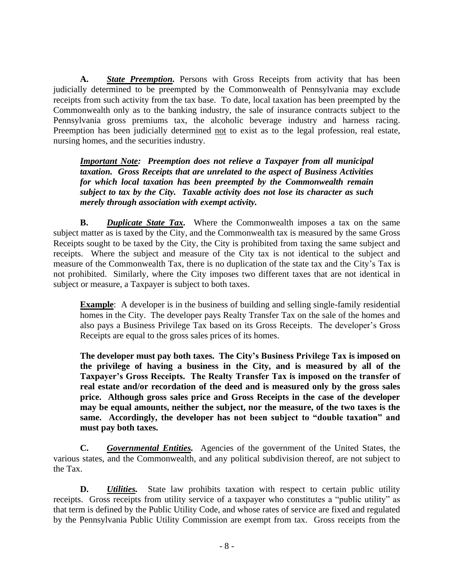**A.** *State Preemption.* Persons with Gross Receipts from activity that has been judicially determined to be preempted by the Commonwealth of Pennsylvania may exclude receipts from such activity from the tax base. To date, local taxation has been preempted by the Commonwealth only as to the banking industry, the sale of insurance contracts subject to the Pennsylvania gross premiums tax, the alcoholic beverage industry and harness racing. Preemption has been judicially determined not to exist as to the legal profession, real estate, nursing homes, and the securities industry.

*Important Note: Preemption does not relieve a Taxpayer from all municipal taxation. Gross Receipts that are unrelated to the aspect of Business Activities for which local taxation has been preempted by the Commonwealth remain subject to tax by the City. Taxable activity does not lose its character as such merely through association with exempt activity.*

**B.** *Duplicate State Tax.* Where the Commonwealth imposes a tax on the same subject matter as is taxed by the City, and the Commonwealth tax is measured by the same Gross Receipts sought to be taxed by the City, the City is prohibited from taxing the same subject and receipts. Where the subject and measure of the City tax is not identical to the subject and measure of the Commonwealth Tax, there is no duplication of the state tax and the City's Tax is not prohibited. Similarly, where the City imposes two different taxes that are not identical in subject or measure, a Taxpayer is subject to both taxes.

**Example**: A developer is in the business of building and selling single-family residential homes in the City. The developer pays Realty Transfer Tax on the sale of the homes and also pays a Business Privilege Tax based on its Gross Receipts. The developer's Gross Receipts are equal to the gross sales prices of its homes.

**The developer must pay both taxes. The City's Business Privilege Tax is imposed on the privilege of having a business in the City, and is measured by all of the Taxpayer's Gross Receipts. The Realty Transfer Tax is imposed on the transfer of real estate and/or recordation of the deed and is measured only by the gross sales price. Although gross sales price and Gross Receipts in the case of the developer may be equal amounts, neither the subject, nor the measure, of the two taxes is the same. Accordingly, the developer has not been subject to "double taxation" and must pay both taxes.**

**C.** *Governmental Entities.* Agencies of the government of the United States, the various states, and the Commonwealth, and any political subdivision thereof, are not subject to the Tax.

**D.** *Utilities.* State law prohibits taxation with respect to certain public utility receipts. Gross receipts from utility service of a taxpayer who constitutes a "public utility" as that term is defined by the Public Utility Code, and whose rates of service are fixed and regulated by the Pennsylvania Public Utility Commission are exempt from tax. Gross receipts from the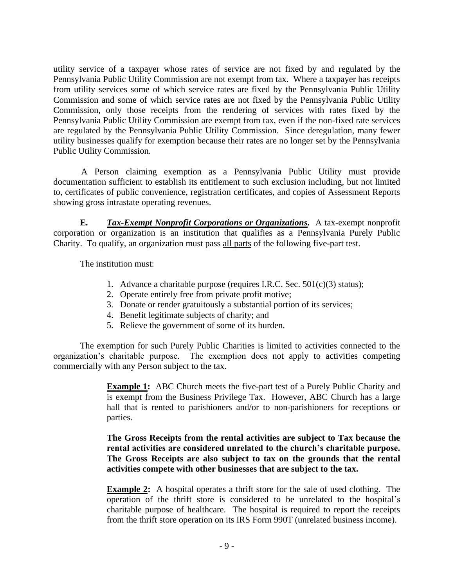utility service of a taxpayer whose rates of service are not fixed by and regulated by the Pennsylvania Public Utility Commission are not exempt from tax. Where a taxpayer has receipts from utility services some of which service rates are fixed by the Pennsylvania Public Utility Commission and some of which service rates are not fixed by the Pennsylvania Public Utility Commission, only those receipts from the rendering of services with rates fixed by the Pennsylvania Public Utility Commission are exempt from tax, even if the non-fixed rate services are regulated by the Pennsylvania Public Utility Commission. Since deregulation, many fewer utility businesses qualify for exemption because their rates are no longer set by the Pennsylvania Public Utility Commission.

A Person claiming exemption as a Pennsylvania Public Utility must provide documentation sufficient to establish its entitlement to such exclusion including, but not limited to, certificates of public convenience, registration certificates, and copies of Assessment Reports showing gross intrastate operating revenues.

**E***. Tax-Exempt Nonprofit Corporations or Organizations.* A tax-exempt nonprofit corporation or organization is an institution that qualifies as a Pennsylvania Purely Public Charity. To qualify, an organization must pass all parts of the following five-part test.

The institution must:

- 1. Advance a charitable purpose (requires I.R.C. Sec. 501(c)(3) status);
- 2. Operate entirely free from private profit motive;
- 3. Donate or render gratuitously a substantial portion of its services;
- 4. Benefit legitimate subjects of charity; and
- 5. Relieve the government of some of its burden.

The exemption for such Purely Public Charities is limited to activities connected to the organization's charitable purpose. The exemption does not apply to activities competing commercially with any Person subject to the tax.

> **Example 1:** ABC Church meets the five-part test of a Purely Public Charity and is exempt from the Business Privilege Tax. However, ABC Church has a large hall that is rented to parishioners and/or to non-parishioners for receptions or parties.

> **The Gross Receipts from the rental activities are subject to Tax because the rental activities are considered unrelated to the church's charitable purpose. The Gross Receipts are also subject to tax on the grounds that the rental activities compete with other businesses that are subject to the tax.**

> **Example 2:** A hospital operates a thrift store for the sale of used clothing. The operation of the thrift store is considered to be unrelated to the hospital's charitable purpose of healthcare. The hospital is required to report the receipts from the thrift store operation on its IRS Form 990T (unrelated business income).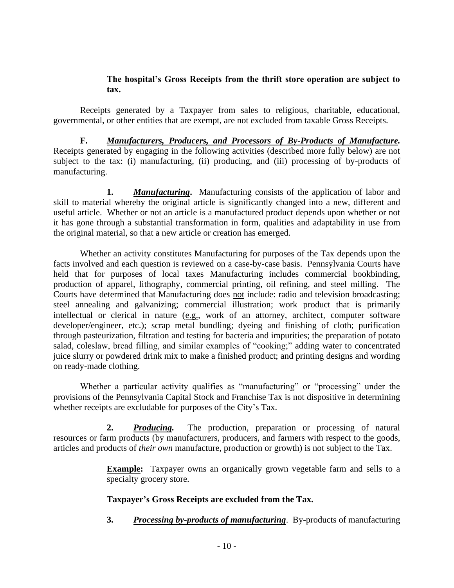#### **The hospital's Gross Receipts from the thrift store operation are subject to tax.**

Receipts generated by a Taxpayer from sales to religious, charitable, educational, governmental, or other entities that are exempt, are not excluded from taxable Gross Receipts.

**F.** *Manufacturers, Producers, and Processors of By-Products of Manufacture.* Receipts generated by engaging in the following activities (described more fully below) are not subject to the tax: (i) manufacturing, (ii) producing, and (iii) processing of by-products of manufacturing.

**1.** *Manufacturing***.** Manufacturing consists of the application of labor and skill to material whereby the original article is significantly changed into a new, different and useful article. Whether or not an article is a manufactured product depends upon whether or not it has gone through a substantial transformation in form, qualities and adaptability in use from the original material, so that a new article or creation has emerged.

Whether an activity constitutes Manufacturing for purposes of the Tax depends upon the facts involved and each question is reviewed on a case-by-case basis. Pennsylvania Courts have held that for purposes of local taxes Manufacturing includes commercial bookbinding, production of apparel, lithography, commercial printing, oil refining, and steel milling. The Courts have determined that Manufacturing does not include: radio and television broadcasting; steel annealing and galvanizing; commercial illustration; work product that is primarily intellectual or clerical in nature (e.g., work of an attorney, architect, computer software developer/engineer, etc.); scrap metal bundling; dyeing and finishing of cloth; purification through pasteurization, filtration and testing for bacteria and impurities; the preparation of potato salad, coleslaw, bread filling, and similar examples of "cooking;" adding water to concentrated juice slurry or powdered drink mix to make a finished product; and printing designs and wording on ready-made clothing.

Whether a particular activity qualifies as "manufacturing" or "processing" under the provisions of the Pennsylvania Capital Stock and Franchise Tax is not dispositive in determining whether receipts are excludable for purposes of the City's Tax.

**2.** *Producing.* The production, preparation or processing of natural resources or farm products (by manufacturers, producers, and farmers with respect to the goods, articles and products of *their own* manufacture, production or growth) is not subject to the Tax.

> **Example:** Taxpayer owns an organically grown vegetable farm and sells to a specialty grocery store.

## **Taxpayer's Gross Receipts are excluded from the Tax.**

**3.** *Processing by-products of manufacturing*. By-products of manufacturing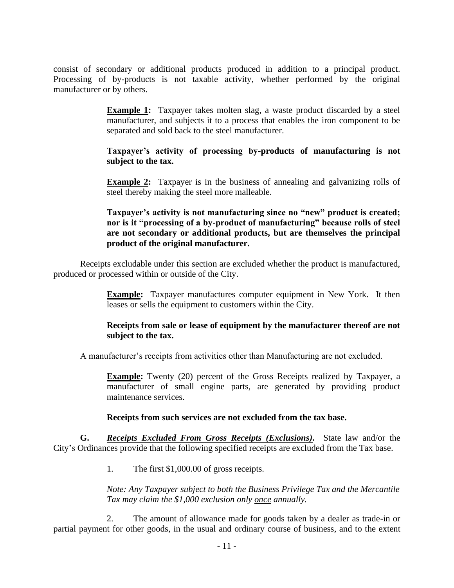consist of secondary or additional products produced in addition to a principal product. Processing of by-products is not taxable activity, whether performed by the original manufacturer or by others.

> **Example 1:** Taxpayer takes molten slag, a waste product discarded by a steel manufacturer, and subjects it to a process that enables the iron component to be separated and sold back to the steel manufacturer.

> **Taxpayer's activity of processing by-products of manufacturing is not subject to the tax.**

> **Example 2:** Taxpayer is in the business of annealing and galvanizing rolls of steel thereby making the steel more malleable.

#### **Taxpayer's activity is not manufacturing since no "new" product is created; nor is it "processing of a by-product of manufacturing" because rolls of steel are not secondary or additional products, but are themselves the principal product of the original manufacturer.**

Receipts excludable under this section are excluded whether the product is manufactured, produced or processed within or outside of the City.

> **Example:** Taxpayer manufactures computer equipment in New York. It then leases or sells the equipment to customers within the City.

## **Receipts from sale or lease of equipment by the manufacturer thereof are not subject to the tax.**

A manufacturer's receipts from activities other than Manufacturing are not excluded.

**Example:** Twenty (20) percent of the Gross Receipts realized by Taxpayer, a manufacturer of small engine parts, are generated by providing product maintenance services.

#### **Receipts from such services are not excluded from the tax base.**

**G.** *Receipts Excluded From Gross Receipts (Exclusions).* State law and/or the City's Ordinances provide that the following specified receipts are excluded from the Tax base.

1. The first \$1,000.00 of gross receipts.

*Note: Any Taxpayer subject to both the Business Privilege Tax and the Mercantile Tax may claim the \$1,000 exclusion only once annually.*

2. The amount of allowance made for goods taken by a dealer as trade-in or partial payment for other goods, in the usual and ordinary course of business, and to the extent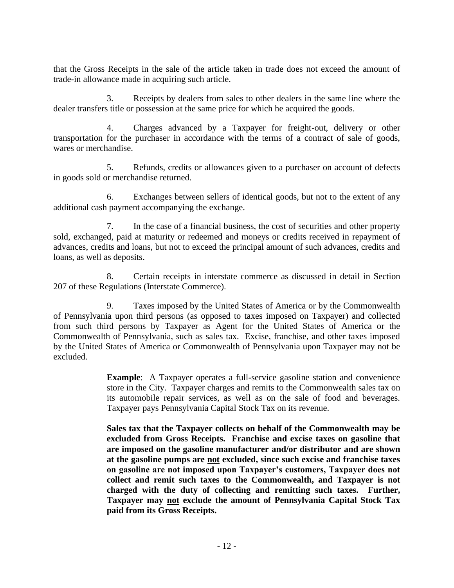that the Gross Receipts in the sale of the article taken in trade does not exceed the amount of trade-in allowance made in acquiring such article.

3. Receipts by dealers from sales to other dealers in the same line where the dealer transfers title or possession at the same price for which he acquired the goods.

4. Charges advanced by a Taxpayer for freight-out, delivery or other transportation for the purchaser in accordance with the terms of a contract of sale of goods, wares or merchandise.

5. Refunds, credits or allowances given to a purchaser on account of defects in goods sold or merchandise returned.

6. Exchanges between sellers of identical goods, but not to the extent of any additional cash payment accompanying the exchange.

7. In the case of a financial business, the cost of securities and other property sold, exchanged, paid at maturity or redeemed and moneys or credits received in repayment of advances, credits and loans, but not to exceed the principal amount of such advances, credits and loans, as well as deposits.

8. Certain receipts in interstate commerce as discussed in detail in Section 207 of these Regulations (Interstate Commerce).

9. Taxes imposed by the United States of America or by the Commonwealth of Pennsylvania upon third persons (as opposed to taxes imposed on Taxpayer) and collected from such third persons by Taxpayer as Agent for the United States of America or the Commonwealth of Pennsylvania, such as sales tax. Excise, franchise, and other taxes imposed by the United States of America or Commonwealth of Pennsylvania upon Taxpayer may not be excluded.

> **Example**: A Taxpayer operates a full-service gasoline station and convenience store in the City. Taxpayer charges and remits to the Commonwealth sales tax on its automobile repair services, as well as on the sale of food and beverages. Taxpayer pays Pennsylvania Capital Stock Tax on its revenue.

> **Sales tax that the Taxpayer collects on behalf of the Commonwealth may be excluded from Gross Receipts. Franchise and excise taxes on gasoline that are imposed on the gasoline manufacturer and/or distributor and are shown at the gasoline pumps are not excluded, since such excise and franchise taxes on gasoline are not imposed upon Taxpayer's customers, Taxpayer does not collect and remit such taxes to the Commonwealth, and Taxpayer is not charged with the duty of collecting and remitting such taxes. Further, Taxpayer may not exclude the amount of Pennsylvania Capital Stock Tax paid from its Gross Receipts.**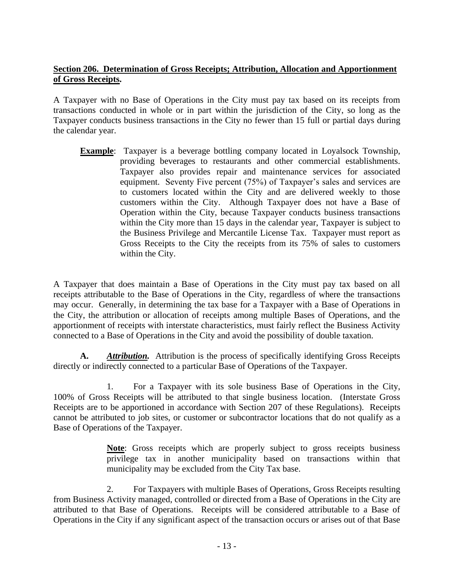## **Section 206. Determination of Gross Receipts; Attribution, Allocation and Apportionment of Gross Receipts.**

A Taxpayer with no Base of Operations in the City must pay tax based on its receipts from transactions conducted in whole or in part within the jurisdiction of the City, so long as the Taxpayer conducts business transactions in the City no fewer than 15 full or partial days during the calendar year.

**Example**: Taxpayer is a beverage bottling company located in Loyalsock Township, providing beverages to restaurants and other commercial establishments. Taxpayer also provides repair and maintenance services for associated equipment. Seventy Five percent (75%) of Taxpayer's sales and services are to customers located within the City and are delivered weekly to those customers within the City. Although Taxpayer does not have a Base of Operation within the City, because Taxpayer conducts business transactions within the City more than 15 days in the calendar year, Taxpayer is subject to the Business Privilege and Mercantile License Tax. Taxpayer must report as Gross Receipts to the City the receipts from its 75% of sales to customers within the City.

A Taxpayer that does maintain a Base of Operations in the City must pay tax based on all receipts attributable to the Base of Operations in the City, regardless of where the transactions may occur. Generally, in determining the tax base for a Taxpayer with a Base of Operations in the City, the attribution or allocation of receipts among multiple Bases of Operations, and the apportionment of receipts with interstate characteristics, must fairly reflect the Business Activity connected to a Base of Operations in the City and avoid the possibility of double taxation.

**A.** *Attribution.* Attribution is the process of specifically identifying Gross Receipts directly or indirectly connected to a particular Base of Operations of the Taxpayer.

1. For a Taxpayer with its sole business Base of Operations in the City, 100% of Gross Receipts will be attributed to that single business location. (Interstate Gross Receipts are to be apportioned in accordance with Section 207 of these Regulations). Receipts cannot be attributed to job sites, or customer or subcontractor locations that do not qualify as a Base of Operations of the Taxpayer.

> **Note**: Gross receipts which are properly subject to gross receipts business privilege tax in another municipality based on transactions within that municipality may be excluded from the City Tax base.

2. For Taxpayers with multiple Bases of Operations, Gross Receipts resulting from Business Activity managed, controlled or directed from a Base of Operations in the City are attributed to that Base of Operations. Receipts will be considered attributable to a Base of Operations in the City if any significant aspect of the transaction occurs or arises out of that Base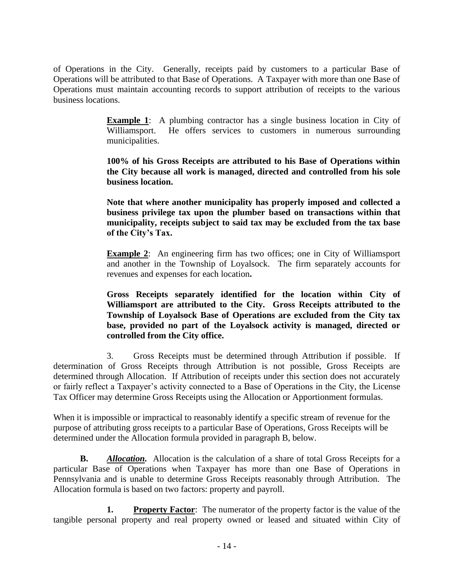of Operations in the City. Generally, receipts paid by customers to a particular Base of Operations will be attributed to that Base of Operations. A Taxpayer with more than one Base of Operations must maintain accounting records to support attribution of receipts to the various business locations.

> **Example 1:** A plumbing contractor has a single business location in City of Williamsport. He offers services to customers in numerous surrounding municipalities.

> **100% of his Gross Receipts are attributed to his Base of Operations within the City because all work is managed, directed and controlled from his sole business location.**

> **Note that where another municipality has properly imposed and collected a business privilege tax upon the plumber based on transactions within that municipality, receipts subject to said tax may be excluded from the tax base of the City's Tax.**

> **Example 2:** An engineering firm has two offices; one in City of Williamsport and another in the Township of Loyalsock. The firm separately accounts for revenues and expenses for each location**.**

> **Gross Receipts separately identified for the location within City of Williamsport are attributed to the City. Gross Receipts attributed to the Township of Loyalsock Base of Operations are excluded from the City tax base, provided no part of the Loyalsock activity is managed, directed or controlled from the City office.**

3. Gross Receipts must be determined through Attribution if possible. If determination of Gross Receipts through Attribution is not possible, Gross Receipts are determined through Allocation. If Attribution of receipts under this section does not accurately or fairly reflect a Taxpayer's activity connected to a Base of Operations in the City, the License Tax Officer may determine Gross Receipts using the Allocation or Apportionment formulas.

When it is impossible or impractical to reasonably identify a specific stream of revenue for the purpose of attributing gross receipts to a particular Base of Operations, Gross Receipts will be determined under the Allocation formula provided in paragraph B, below.

**B.** *Allocation.* Allocation is the calculation of a share of total Gross Receipts for a particular Base of Operations when Taxpayer has more than one Base of Operations in Pennsylvania and is unable to determine Gross Receipts reasonably through Attribution. The Allocation formula is based on two factors: property and payroll.

**1. Property Factor:** The numerator of the property factor is the value of the tangible personal property and real property owned or leased and situated within City of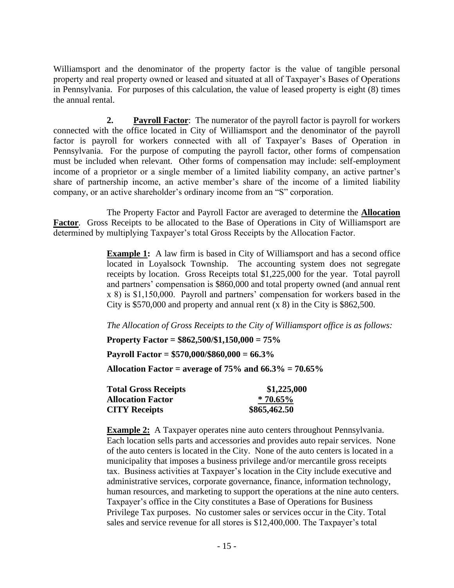Williamsport and the denominator of the property factor is the value of tangible personal property and real property owned or leased and situated at all of Taxpayer's Bases of Operations in Pennsylvania. For purposes of this calculation, the value of leased property is eight (8) times the annual rental.

**2. Payroll Factor**: The numerator of the payroll factor is payroll for workers connected with the office located in City of Williamsport and the denominator of the payroll factor is payroll for workers connected with all of Taxpayer's Bases of Operation in Pennsylvania. For the purpose of computing the payroll factor, other forms of compensation must be included when relevant. Other forms of compensation may include: self-employment income of a proprietor or a single member of a limited liability company, an active partner's share of partnership income, an active member's share of the income of a limited liability company, or an active shareholder's ordinary income from an "S" corporation.

The Property Factor and Payroll Factor are averaged to determine the **Allocation**  Factor. Gross Receipts to be allocated to the Base of Operations in City of Williamsport are determined by multiplying Taxpayer's total Gross Receipts by the Allocation Factor.

> **Example 1:** A law firm is based in City of Williamsport and has a second office located in Loyalsock Township. The accounting system does not segregate receipts by location. Gross Receipts total \$1,225,000 for the year. Total payroll and partners' compensation is \$860,000 and total property owned (and annual rent x 8) is \$1,150,000. Payroll and partners' compensation for workers based in the City is \$570,000 and property and annual rent (x 8) in the City is \$862,500.

*The Allocation of Gross Receipts to the City of Williamsport office is as follows:*

**Property Factor = \$862,500/\$1,150,000 = 75%**

**Payroll Factor = \$570,000/\$860,000 = 66.3%**

**Allocation Factor = average of 75% and 66.3% = 70.65%**

| <b>Total Gross Receipts</b> | \$1,225,000  |
|-----------------------------|--------------|
| <b>Allocation Factor</b>    | $*70.65\%$   |
| <b>CITY Receipts</b>        | \$865,462.50 |

**Example 2:** A Taxpayer operates nine auto centers throughout Pennsylvania. Each location sells parts and accessories and provides auto repair services. None of the auto centers is located in the City. None of the auto centers is located in a municipality that imposes a business privilege and/or mercantile gross receipts tax. Business activities at Taxpayer's location in the City include executive and administrative services, corporate governance, finance, information technology, human resources, and marketing to support the operations at the nine auto centers. Taxpayer's office in the City constitutes a Base of Operations for Business Privilege Tax purposes. No customer sales or services occur in the City. Total sales and service revenue for all stores is \$12,400,000. The Taxpayer's total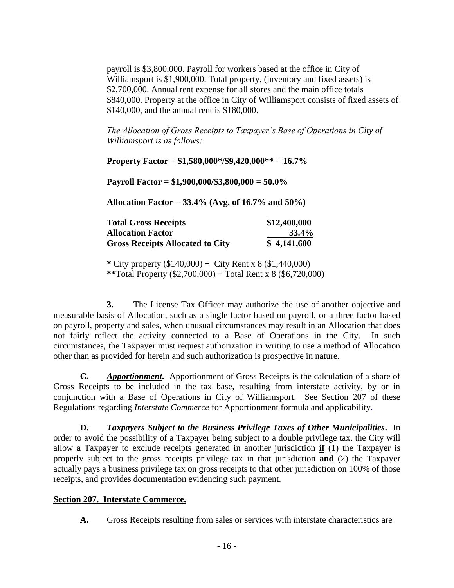payroll is \$3,800,000. Payroll for workers based at the office in City of Williamsport is \$1,900,000. Total property, (inventory and fixed assets) is \$2,700,000. Annual rent expense for all stores and the main office totals \$840,000. Property at the office in City of Williamsport consists of fixed assets of \$140,000, and the annual rent is \$180,000.

*The Allocation of Gross Receipts to Taxpayer's Base of Operations in City of Williamsport is as follows:*

**Property Factor = \$1,580,000\*/\$9,420,000\*\* = 16.7%**

**Payroll Factor = \$1,900,000/\$3,800,000 = 50.0%**

**Allocation Factor = 33.4% (Avg. of 16.7% and 50%)**

| <b>Total Gross Receipts</b>             | \$12,400,000 |
|-----------------------------------------|--------------|
| <b>Allocation Factor</b>                | 33.4%        |
| <b>Gross Receipts Allocated to City</b> | \$4,141,600  |

**\*** City property (\$140,000) + City Rent x 8 (\$1,440,000) **\*\***Total Property (\$2,700,000) + Total Rent x 8 (\$6,720,000)

**3.** The License Tax Officer may authorize the use of another objective and measurable basis of Allocation, such as a single factor based on payroll, or a three factor based on payroll, property and sales, when unusual circumstances may result in an Allocation that does not fairly reflect the activity connected to a Base of Operations in the City. In such circumstances, the Taxpayer must request authorization in writing to use a method of Allocation other than as provided for herein and such authorization is prospective in nature.

**C.** *Apportionment.* Apportionment of Gross Receipts is the calculation of a share of Gross Receipts to be included in the tax base, resulting from interstate activity, by or in conjunction with a Base of Operations in City of Williamsport. See Section 207 of these Regulations regarding *Interstate Commerce* for Apportionment formula and applicability.

**D.** *Taxpayers Subject to the Business Privilege Taxes of Other Municipalities***.** In order to avoid the possibility of a Taxpayer being subject to a double privilege tax, the City will allow a Taxpayer to exclude receipts generated in another jurisdiction **if** (1) the Taxpayer is properly subject to the gross receipts privilege tax in that jurisdiction **and** (2) the Taxpayer actually pays a business privilege tax on gross receipts to that other jurisdiction on 100% of those receipts, and provides documentation evidencing such payment.

#### **Section 207. Interstate Commerce.**

**A.** Gross Receipts resulting from sales or services with interstate characteristics are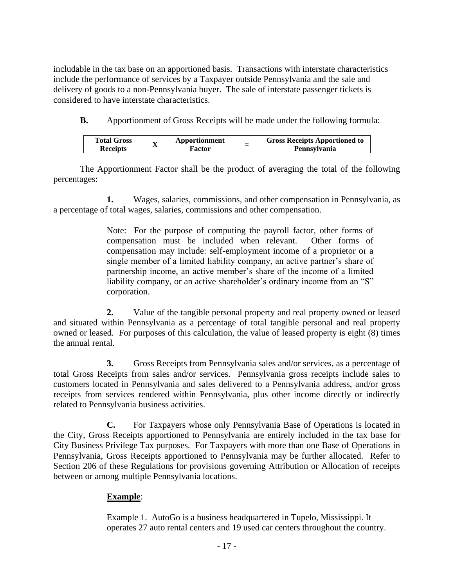includable in the tax base on an apportioned basis. Transactions with interstate characteristics include the performance of services by a Taxpayer outside Pennsylvania and the sale and delivery of goods to a non-Pennsylvania buyer. The sale of interstate passenger tickets is considered to have interstate characteristics.

**B.** Apportionment of Gross Receipts will be made under the following formula:

| <b>Total Gross</b> | $\mathbf{v}$ | Apportionment | - | <b>Gross Receipts Apportioned to</b> |
|--------------------|--------------|---------------|---|--------------------------------------|
| <b>Receipts</b>    | л            | -<br>Factor   |   | Pennsylvania                         |

The Apportionment Factor shall be the product of averaging the total of the following percentages:

**1.** Wages, salaries, commissions, and other compensation in Pennsylvania, as a percentage of total wages, salaries, commissions and other compensation.

> Note: For the purpose of computing the payroll factor, other forms of compensation must be included when relevant. Other forms of compensation may include: self-employment income of a proprietor or a single member of a limited liability company, an active partner's share of partnership income, an active member's share of the income of a limited liability company, or an active shareholder's ordinary income from an "S" corporation.

**2.** Value of the tangible personal property and real property owned or leased and situated within Pennsylvania as a percentage of total tangible personal and real property owned or leased. For purposes of this calculation, the value of leased property is eight (8) times the annual rental.

**3.** Gross Receipts from Pennsylvania sales and/or services, as a percentage of total Gross Receipts from sales and/or services. Pennsylvania gross receipts include sales to customers located in Pennsylvania and sales delivered to a Pennsylvania address, and/or gross receipts from services rendered within Pennsylvania, plus other income directly or indirectly related to Pennsylvania business activities.

**C.** For Taxpayers whose only Pennsylvania Base of Operations is located in the City, Gross Receipts apportioned to Pennsylvania are entirely included in the tax base for City Business Privilege Tax purposes. For Taxpayers with more than one Base of Operations in Pennsylvania, Gross Receipts apportioned to Pennsylvania may be further allocated. Refer to Section 206 of these Regulations for provisions governing Attribution or Allocation of receipts between or among multiple Pennsylvania locations.

## **Example**:

Example 1. AutoGo is a business headquartered in Tupelo, Mississippi. It operates 27 auto rental centers and 19 used car centers throughout the country.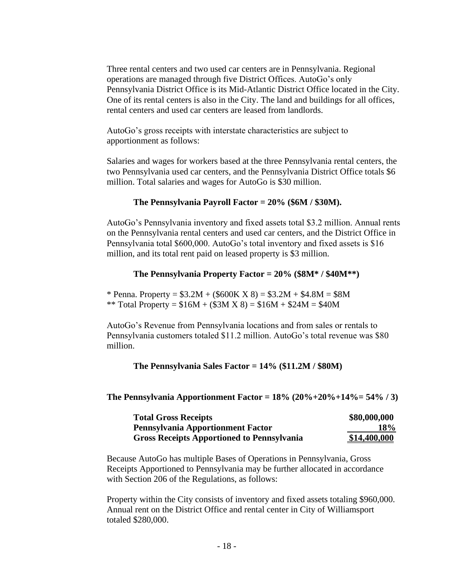Three rental centers and two used car centers are in Pennsylvania. Regional operations are managed through five District Offices. AutoGo's only Pennsylvania District Office is its Mid-Atlantic District Office located in the City. One of its rental centers is also in the City. The land and buildings for all offices, rental centers and used car centers are leased from landlords.

AutoGo's gross receipts with interstate characteristics are subject to apportionment as follows:

Salaries and wages for workers based at the three Pennsylvania rental centers, the two Pennsylvania used car centers, and the Pennsylvania District Office totals \$6 million. Total salaries and wages for AutoGo is \$30 million.

#### **The Pennsylvania Payroll Factor = 20% (\$6M / \$30M).**

AutoGo's Pennsylvania inventory and fixed assets total \$3.2 million. Annual rents on the Pennsylvania rental centers and used car centers, and the District Office in Pennsylvania total \$600,000. AutoGo's total inventory and fixed assets is \$16 million, and its total rent paid on leased property is \$3 million.

#### **The Pennsylvania Property Factor = 20% (\$8M\* / \$40M\*\*)**

\* Penna. Property =  $$3.2M + ($600K X 8) = $3.2M + $4.8M = $8M$ \*\* Total Property =  $$16M + ($3M X 8) = $16M + $24M = $40M$ 

AutoGo's Revenue from Pennsylvania locations and from sales or rentals to Pennsylvania customers totaled \$11.2 million. AutoGo's total revenue was \$80 million.

**The Pennsylvania Sales Factor = 14% (\$11.2M / \$80M)**

**The Pennsylvania Apportionment Factor = 18% (20%+20%+14%= 54% / 3)**

| <b>Total Gross Receipts</b>                       | \$80,000,000 |
|---------------------------------------------------|--------------|
| <b>Pennsylvania Apportionment Factor</b>          | <b>18%</b>   |
| <b>Gross Receipts Apportioned to Pennsylvania</b> | \$14,400,000 |

Because AutoGo has multiple Bases of Operations in Pennsylvania, Gross Receipts Apportioned to Pennsylvania may be further allocated in accordance with Section 206 of the Regulations, as follows:

Property within the City consists of inventory and fixed assets totaling \$960,000. Annual rent on the District Office and rental center in City of Williamsport totaled \$280,000.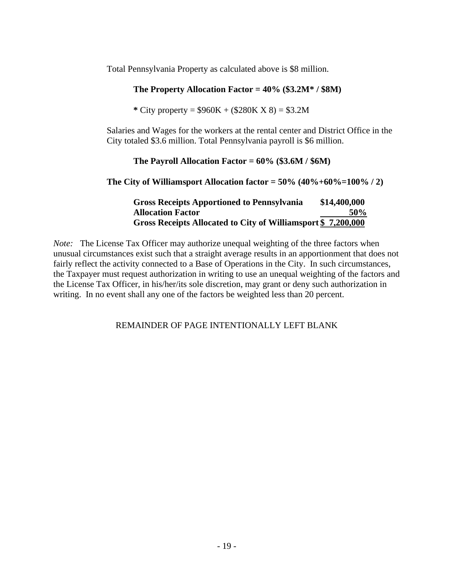Total Pennsylvania Property as calculated above is \$8 million.

## **The Property Allocation Factor = 40% (\$3.2M\* / \$8M)**

**\*** City property = \$960K + (\$280K X 8) = \$3.2M

Salaries and Wages for the workers at the rental center and District Office in the City totaled \$3.6 million. Total Pennsylvania payroll is \$6 million.

#### **The Payroll Allocation Factor = 60% (\$3.6M / \$6M)**

**The City of Williamsport Allocation factor = 50% (40%+60%=100% / 2)**

| <b>Gross Receipts Apportioned to Pennsylvania</b>            | \$14,400,000 |
|--------------------------------------------------------------|--------------|
| <b>Allocation Factor</b>                                     | 50%          |
| Gross Receipts Allocated to City of Williamsport \$7,200,000 |              |

*Note:* The License Tax Officer may authorize unequal weighting of the three factors when unusual circumstances exist such that a straight average results in an apportionment that does not fairly reflect the activity connected to a Base of Operations in the City. In such circumstances, the Taxpayer must request authorization in writing to use an unequal weighting of the factors and the License Tax Officer, in his/her/its sole discretion, may grant or deny such authorization in writing. In no event shall any one of the factors be weighted less than 20 percent.

REMAINDER OF PAGE INTENTIONALLY LEFT BLANK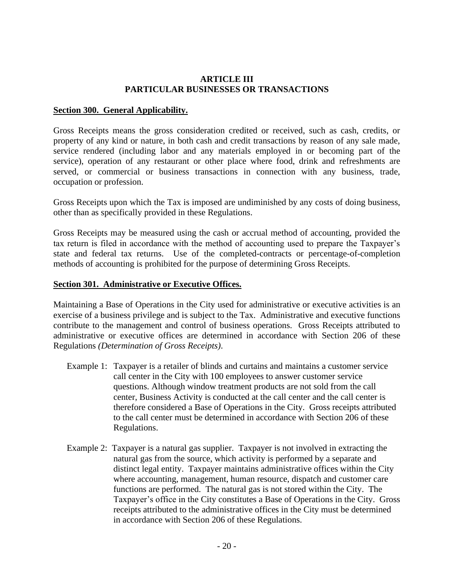#### **ARTICLE III PARTICULAR BUSINESSES OR TRANSACTIONS**

#### **Section 300. General Applicability.**

Gross Receipts means the gross consideration credited or received, such as cash, credits, or property of any kind or nature, in both cash and credit transactions by reason of any sale made, service rendered (including labor and any materials employed in or becoming part of the service), operation of any restaurant or other place where food, drink and refreshments are served, or commercial or business transactions in connection with any business, trade, occupation or profession.

Gross Receipts upon which the Tax is imposed are undiminished by any costs of doing business, other than as specifically provided in these Regulations.

Gross Receipts may be measured using the cash or accrual method of accounting, provided the tax return is filed in accordance with the method of accounting used to prepare the Taxpayer's state and federal tax returns. Use of the completed-contracts or percentage-of-completion methods of accounting is prohibited for the purpose of determining Gross Receipts.

#### **Section 301. Administrative or Executive Offices.**

Maintaining a Base of Operations in the City used for administrative or executive activities is an exercise of a business privilege and is subject to the Tax. Administrative and executive functions contribute to the management and control of business operations. Gross Receipts attributed to administrative or executive offices are determined in accordance with Section 206 of these Regulations *(Determination of Gross Receipts)*.

- Example 1: Taxpayer is a retailer of blinds and curtains and maintains a customer service call center in the City with 100 employees to answer customer service questions. Although window treatment products are not sold from the call center, Business Activity is conducted at the call center and the call center is therefore considered a Base of Operations in the City. Gross receipts attributed to the call center must be determined in accordance with Section 206 of these Regulations.
- Example 2: Taxpayer is a natural gas supplier. Taxpayer is not involved in extracting the natural gas from the source, which activity is performed by a separate and distinct legal entity. Taxpayer maintains administrative offices within the City where accounting, management, human resource, dispatch and customer care functions are performed. The natural gas is not stored within the City. The Taxpayer's office in the City constitutes a Base of Operations in the City. Gross receipts attributed to the administrative offices in the City must be determined in accordance with Section 206 of these Regulations.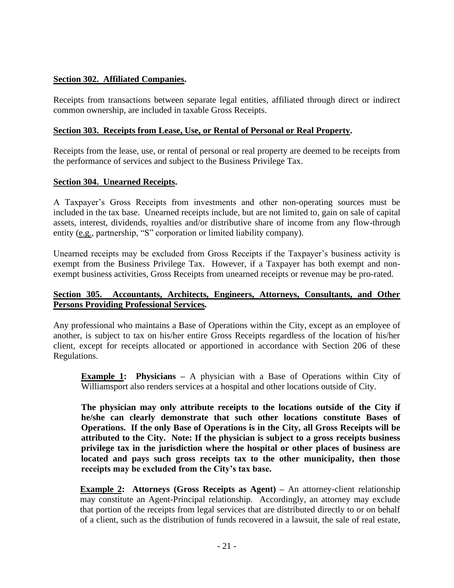## **Section 302. Affiliated Companies.**

Receipts from transactions between separate legal entities, affiliated through direct or indirect common ownership, are included in taxable Gross Receipts.

## **Section 303. Receipts from Lease, Use, or Rental of Personal or Real Property.**

Receipts from the lease, use, or rental of personal or real property are deemed to be receipts from the performance of services and subject to the Business Privilege Tax.

## **Section 304. Unearned Receipts.**

A Taxpayer's Gross Receipts from investments and other non-operating sources must be included in the tax base. Unearned receipts include, but are not limited to, gain on sale of capital assets, interest, dividends, royalties and/or distributive share of income from any flow-through entity (e.g., partnership, "S" corporation or limited liability company).

Unearned receipts may be excluded from Gross Receipts if the Taxpayer's business activity is exempt from the Business Privilege Tax. However, if a Taxpayer has both exempt and nonexempt business activities, Gross Receipts from unearned receipts or revenue may be pro-rated.

## **Section 305. Accountants, Architects, Engineers, Attorneys, Consultants, and Other Persons Providing Professional Services***.*

Any professional who maintains a Base of Operations within the City, except as an employee of another, is subject to tax on his/her entire Gross Receipts regardless of the location of his/her client, except for receipts allocated or apportioned in accordance with Section 206 of these Regulations.

**Example 1: Physicians –** A physician with a Base of Operations within City of Williamsport also renders services at a hospital and other locations outside of City.

**The physician may only attribute receipts to the locations outside of the City if he/she can clearly demonstrate that such other locations constitute Bases of Operations. If the only Base of Operations is in the City, all Gross Receipts will be attributed to the City. Note: If the physician is subject to a gross receipts business privilege tax in the jurisdiction where the hospital or other places of business are located and pays such gross receipts tax to the other municipality, then those receipts may be excluded from the City's tax base.** 

**Example 2: Attorneys (Gross Receipts as Agent) –** An attorney-client relationship may constitute an Agent-Principal relationship. Accordingly, an attorney may exclude that portion of the receipts from legal services that are distributed directly to or on behalf of a client, such as the distribution of funds recovered in a lawsuit, the sale of real estate,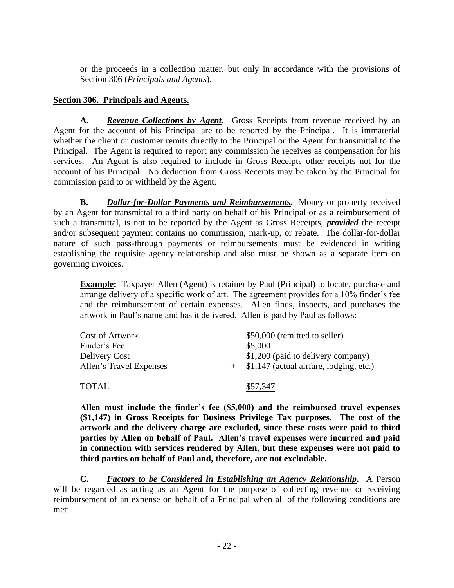or the proceeds in a collection matter, but only in accordance with the provisions of Section 306 (*Principals and Agents*).

## **Section 306. Principals and Agents.**

**A.** *Revenue Collections by Agent.* Gross Receipts from revenue received by an Agent for the account of his Principal are to be reported by the Principal. It is immaterial whether the client or customer remits directly to the Principal or the Agent for transmittal to the Principal. The Agent is required to report any commission he receives as compensation for his services. An Agent is also required to include in Gross Receipts other receipts not for the account of his Principal. No deduction from Gross Receipts may be taken by the Principal for commission paid to or withheld by the Agent.

**B.** *Dollar-for-Dollar Payments and Reimbursements.* Money or property received by an Agent for transmittal to a third party on behalf of his Principal or as a reimbursement of such a transmittal, is not to be reported by the Agent as Gross Receipts, *provided* the receipt and/or subsequent payment contains no commission, mark-up, or rebate. The dollar-for-dollar nature of such pass-through payments or reimbursements must be evidenced in writing establishing the requisite agency relationship and also must be shown as a separate item on governing invoices.

**Example:** Taxpayer Allen (Agent) is retainer by Paul (Principal) to locate, purchase and arrange delivery of a specific work of art. The agreement provides for a 10% finder's fee and the reimbursement of certain expenses. Allen finds, inspects, and purchases the artwork in Paul's name and has it delivered. Allen is paid by Paul as follows:

| Cost of Artwork         | \$50,000 (remitted to seller)               |
|-------------------------|---------------------------------------------|
| Finder's Fee            | \$5,000                                     |
| Delivery Cost           | \$1,200 (paid to delivery company)          |
| Allen's Travel Expenses | $+$ \$1,147 (actual airfare, lodging, etc.) |
|                         |                                             |
| <b>TOTAL</b>            | \$57.347                                    |

**Allen must include the finder's fee (\$5,000) and the reimbursed travel expenses (\$1,147) in Gross Receipts for Business Privilege Tax purposes. The cost of the artwork and the delivery charge are excluded, since these costs were paid to third parties by Allen on behalf of Paul. Allen's travel expenses were incurred and paid in connection with services rendered by Allen, but these expenses were not paid to third parties on behalf of Paul and, therefore, are not excludable.**

**C.** *Factors to be Considered in Establishing an Agency Relationship.* A Person will be regarded as acting as an Agent for the purpose of collecting revenue or receiving reimbursement of an expense on behalf of a Principal when all of the following conditions are met: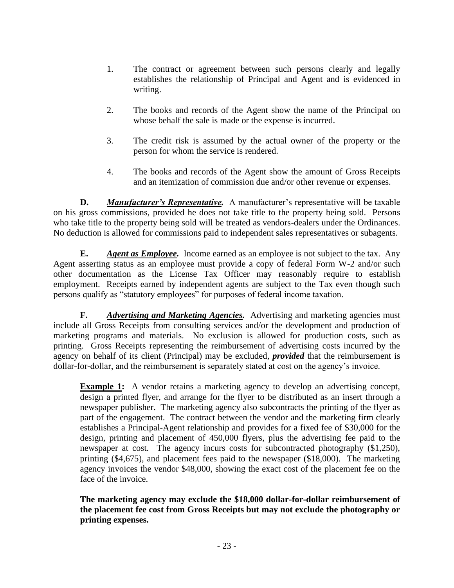- 1. The contract or agreement between such persons clearly and legally establishes the relationship of Principal and Agent and is evidenced in writing.
- 2. The books and records of the Agent show the name of the Principal on whose behalf the sale is made or the expense is incurred.
- 3. The credit risk is assumed by the actual owner of the property or the person for whom the service is rendered.
- 4. The books and records of the Agent show the amount of Gross Receipts and an itemization of commission due and/or other revenue or expenses.

**D.** *Manufacturer's Representative.* A manufacturer's representative will be taxable on his gross commissions, provided he does not take title to the property being sold. Persons who take title to the property being sold will be treated as vendors-dealers under the Ordinances. No deduction is allowed for commissions paid to independent sales representatives or subagents.

**E.** *Agent as Employee.* Income earned as an employee is not subject to the tax. Any Agent asserting status as an employee must provide a copy of federal Form W-2 and/or such other documentation as the License Tax Officer may reasonably require to establish employment. Receipts earned by independent agents are subject to the Tax even though such persons qualify as "statutory employees" for purposes of federal income taxation.

**F.** *Advertising and Marketing Agencies.* Advertising and marketing agencies must include all Gross Receipts from consulting services and/or the development and production of marketing programs and materials. No exclusion is allowed for production costs, such as printing. Gross Receipts representing the reimbursement of advertising costs incurred by the agency on behalf of its client (Principal) may be excluded, *provided* that the reimbursement is dollar-for-dollar, and the reimbursement is separately stated at cost on the agency's invoice.

**Example 1:** A vendor retains a marketing agency to develop an advertising concept, design a printed flyer, and arrange for the flyer to be distributed as an insert through a newspaper publisher. The marketing agency also subcontracts the printing of the flyer as part of the engagement. The contract between the vendor and the marketing firm clearly establishes a Principal-Agent relationship and provides for a fixed fee of \$30,000 for the design, printing and placement of 450,000 flyers, plus the advertising fee paid to the newspaper at cost. The agency incurs costs for subcontracted photography  $(\$1,250)$ , printing (\$4,675), and placement fees paid to the newspaper (\$18,000). The marketing agency invoices the vendor \$48,000, showing the exact cost of the placement fee on the face of the invoice.

**The marketing agency may exclude the \$18,000 dollar-for-dollar reimbursement of the placement fee cost from Gross Receipts but may not exclude the photography or printing expenses.**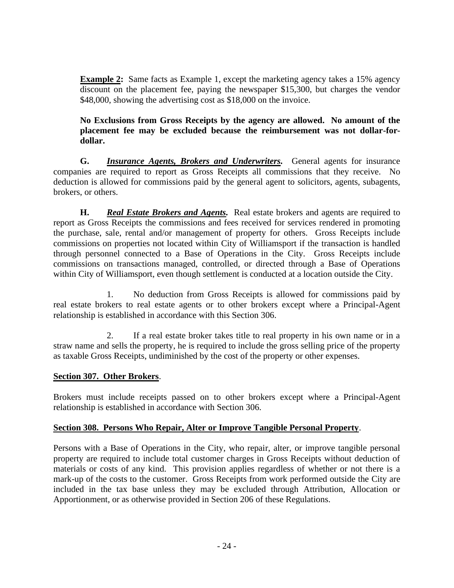**Example 2:** Same facts as Example 1, except the marketing agency takes a 15% agency discount on the placement fee, paying the newspaper \$15,300, but charges the vendor \$48,000, showing the advertising cost as \$18,000 on the invoice.

## **No Exclusions from Gross Receipts by the agency are allowed. No amount of the placement fee may be excluded because the reimbursement was not dollar-fordollar.**

**G.** *Insurance Agents, Brokers and Underwriters.* General agents for insurance companies are required to report as Gross Receipts all commissions that they receive. No deduction is allowed for commissions paid by the general agent to solicitors, agents, subagents, brokers, or others.

**H.** *Real Estate Brokers and Agents.* Real estate brokers and agents are required to report as Gross Receipts the commissions and fees received for services rendered in promoting the purchase, sale, rental and/or management of property for others. Gross Receipts include commissions on properties not located within City of Williamsport if the transaction is handled through personnel connected to a Base of Operations in the City. Gross Receipts include commissions on transactions managed, controlled, or directed through a Base of Operations within City of Williamsport, even though settlement is conducted at a location outside the City.

1. No deduction from Gross Receipts is allowed for commissions paid by real estate brokers to real estate agents or to other brokers except where a Principal-Agent relationship is established in accordance with this Section 306.

2. If a real estate broker takes title to real property in his own name or in a straw name and sells the property, he is required to include the gross selling price of the property as taxable Gross Receipts, undiminished by the cost of the property or other expenses.

## **Section 307. Other Brokers**.

Brokers must include receipts passed on to other brokers except where a Principal-Agent relationship is established in accordance with Section 306.

## **Section 308. Persons Who Repair, Alter or Improve Tangible Personal Property**.

Persons with a Base of Operations in the City, who repair, alter, or improve tangible personal property are required to include total customer charges in Gross Receipts without deduction of materials or costs of any kind. This provision applies regardless of whether or not there is a mark-up of the costs to the customer. Gross Receipts from work performed outside the City are included in the tax base unless they may be excluded through Attribution, Allocation or Apportionment, or as otherwise provided in Section 206 of these Regulations.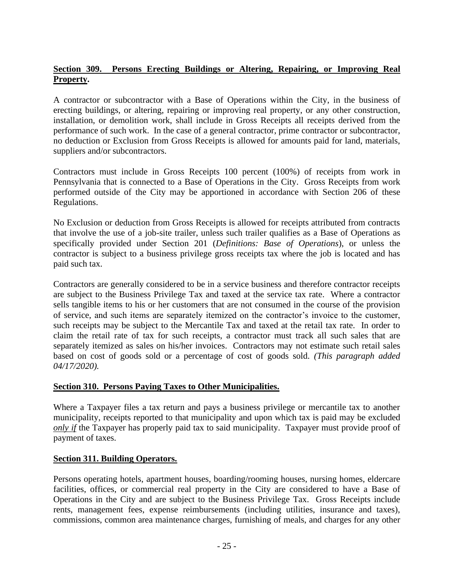## **Section 309. Persons Erecting Buildings or Altering, Repairing, or Improving Real Property.**

A contractor or subcontractor with a Base of Operations within the City, in the business of erecting buildings, or altering, repairing or improving real property, or any other construction, installation, or demolition work, shall include in Gross Receipts all receipts derived from the performance of such work. In the case of a general contractor, prime contractor or subcontractor, no deduction or Exclusion from Gross Receipts is allowed for amounts paid for land, materials, suppliers and/or subcontractors.

Contractors must include in Gross Receipts 100 percent (100%) of receipts from work in Pennsylvania that is connected to a Base of Operations in the City. Gross Receipts from work performed outside of the City may be apportioned in accordance with Section 206 of these Regulations.

No Exclusion or deduction from Gross Receipts is allowed for receipts attributed from contracts that involve the use of a job-site trailer, unless such trailer qualifies as a Base of Operations as specifically provided under Section 201 (*Definitions: Base of Operations*), or unless the contractor is subject to a business privilege gross receipts tax where the job is located and has paid such tax.

Contractors are generally considered to be in a service business and therefore contractor receipts are subject to the Business Privilege Tax and taxed at the service tax rate. Where a contractor sells tangible items to his or her customers that are not consumed in the course of the provision of service, and such items are separately itemized on the contractor's invoice to the customer, such receipts may be subject to the Mercantile Tax and taxed at the retail tax rate. In order to claim the retail rate of tax for such receipts, a contractor must track all such sales that are separately itemized as sales on his/her invoices. Contractors may not estimate such retail sales based on cost of goods sold or a percentage of cost of goods sold. *(This paragraph added 04/17/2020).*

## **Section 310. Persons Paying Taxes to Other Municipalities.**

Where a Taxpayer files a tax return and pays a business privilege or mercantile tax to another municipality, receipts reported to that municipality and upon which tax is paid may be excluded *only if* the Taxpayer has properly paid tax to said municipality. Taxpayer must provide proof of payment of taxes.

## **Section 311. Building Operators.**

Persons operating hotels, apartment houses, boarding/rooming houses, nursing homes, eldercare facilities, offices, or commercial real property in the City are considered to have a Base of Operations in the City and are subject to the Business Privilege Tax. Gross Receipts include rents, management fees, expense reimbursements (including utilities, insurance and taxes), commissions, common area maintenance charges, furnishing of meals, and charges for any other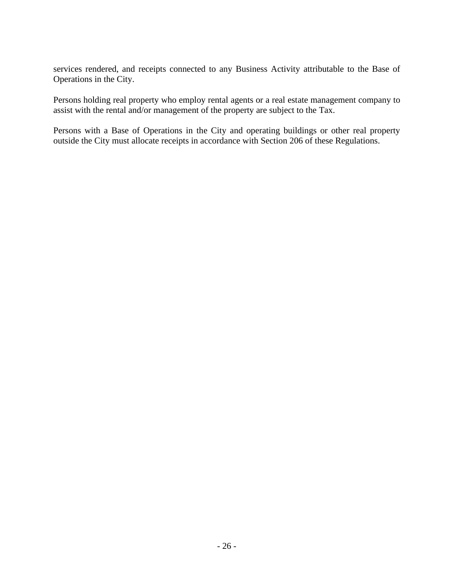services rendered, and receipts connected to any Business Activity attributable to the Base of Operations in the City.

Persons holding real property who employ rental agents or a real estate management company to assist with the rental and/or management of the property are subject to the Tax.

Persons with a Base of Operations in the City and operating buildings or other real property outside the City must allocate receipts in accordance with Section 206 of these Regulations.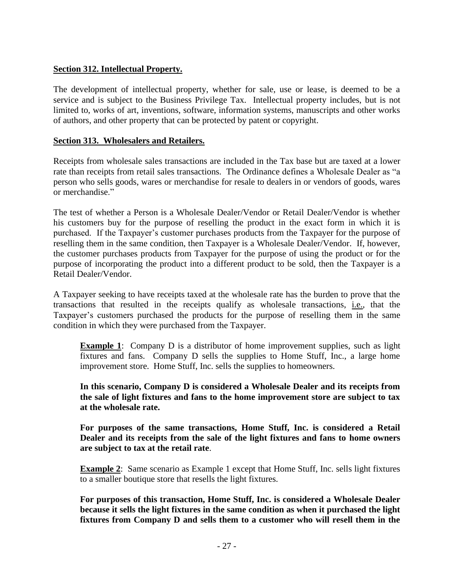## **Section 312. Intellectual Property.**

The development of intellectual property, whether for sale, use or lease, is deemed to be a service and is subject to the Business Privilege Tax. Intellectual property includes, but is not limited to, works of art, inventions, software, information systems, manuscripts and other works of authors, and other property that can be protected by patent or copyright.

#### **Section 313. Wholesalers and Retailers.**

Receipts from wholesale sales transactions are included in the Tax base but are taxed at a lower rate than receipts from retail sales transactions. The Ordinance defines a Wholesale Dealer as "a person who sells goods, wares or merchandise for resale to dealers in or vendors of goods, wares or merchandise."

The test of whether a Person is a Wholesale Dealer/Vendor or Retail Dealer/Vendor is whether his customers buy for the purpose of reselling the product in the exact form in which it is purchased. If the Taxpayer's customer purchases products from the Taxpayer for the purpose of reselling them in the same condition, then Taxpayer is a Wholesale Dealer/Vendor. If, however, the customer purchases products from Taxpayer for the purpose of using the product or for the purpose of incorporating the product into a different product to be sold, then the Taxpayer is a Retail Dealer/Vendor.

A Taxpayer seeking to have receipts taxed at the wholesale rate has the burden to prove that the transactions that resulted in the receipts qualify as wholesale transactions, i.e., that the Taxpayer's customers purchased the products for the purpose of reselling them in the same condition in which they were purchased from the Taxpayer.

**Example 1**: Company D is a distributor of home improvement supplies, such as light fixtures and fans. Company D sells the supplies to Home Stuff, Inc., a large home improvement store. Home Stuff, Inc. sells the supplies to homeowners.

**In this scenario, Company D is considered a Wholesale Dealer and its receipts from the sale of light fixtures and fans to the home improvement store are subject to tax at the wholesale rate.**

**For purposes of the same transactions, Home Stuff, Inc. is considered a Retail Dealer and its receipts from the sale of the light fixtures and fans to home owners are subject to tax at the retail rate**.

**Example 2**: Same scenario as Example 1 except that Home Stuff, Inc. sells light fixtures to a smaller boutique store that resells the light fixtures.

**For purposes of this transaction, Home Stuff, Inc. is considered a Wholesale Dealer because it sells the light fixtures in the same condition as when it purchased the light fixtures from Company D and sells them to a customer who will resell them in the**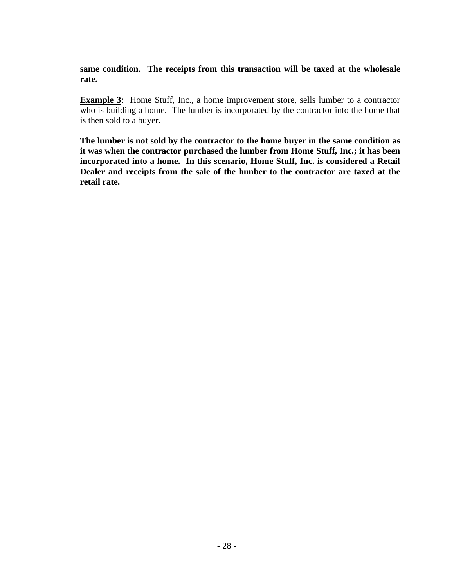**same condition. The receipts from this transaction will be taxed at the wholesale rate.**

**Example 3**: Home Stuff, Inc., a home improvement store, sells lumber to a contractor who is building a home. The lumber is incorporated by the contractor into the home that is then sold to a buyer.

**The lumber is not sold by the contractor to the home buyer in the same condition as it was when the contractor purchased the lumber from Home Stuff, Inc.; it has been incorporated into a home. In this scenario, Home Stuff, Inc. is considered a Retail Dealer and receipts from the sale of the lumber to the contractor are taxed at the retail rate.**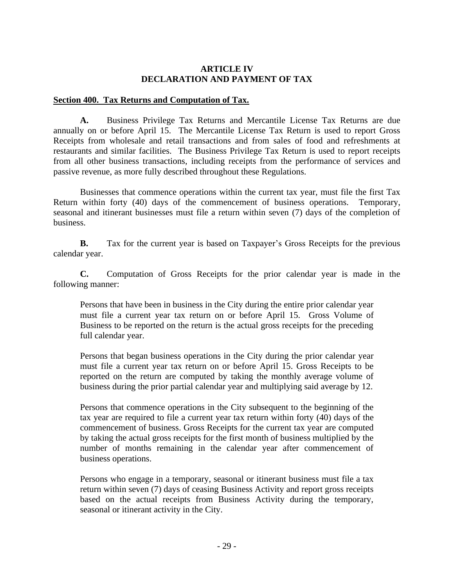## **ARTICLE IV DECLARATION AND PAYMENT OF TAX**

#### **Section 400. Tax Returns and Computation of Tax.**

**A.** Business Privilege Tax Returns and Mercantile License Tax Returns are due annually on or before April 15. The Mercantile License Tax Return is used to report Gross Receipts from wholesale and retail transactions and from sales of food and refreshments at restaurants and similar facilities. The Business Privilege Tax Return is used to report receipts from all other business transactions, including receipts from the performance of services and passive revenue, as more fully described throughout these Regulations.

Businesses that commence operations within the current tax year, must file the first Tax Return within forty (40) days of the commencement of business operations. Temporary, seasonal and itinerant businesses must file a return within seven (7) days of the completion of business.

**B.** Tax for the current year is based on Taxpayer's Gross Receipts for the previous calendar year.

**C.** Computation of Gross Receipts for the prior calendar year is made in the following manner:

Persons that have been in business in the City during the entire prior calendar year must file a current year tax return on or before April 15. Gross Volume of Business to be reported on the return is the actual gross receipts for the preceding full calendar year.

Persons that began business operations in the City during the prior calendar year must file a current year tax return on or before April 15. Gross Receipts to be reported on the return are computed by taking the monthly average volume of business during the prior partial calendar year and multiplying said average by 12.

Persons that commence operations in the City subsequent to the beginning of the tax year are required to file a current year tax return within forty (40) days of the commencement of business. Gross Receipts for the current tax year are computed by taking the actual gross receipts for the first month of business multiplied by the number of months remaining in the calendar year after commencement of business operations.

Persons who engage in a temporary, seasonal or itinerant business must file a tax return within seven (7) days of ceasing Business Activity and report gross receipts based on the actual receipts from Business Activity during the temporary, seasonal or itinerant activity in the City.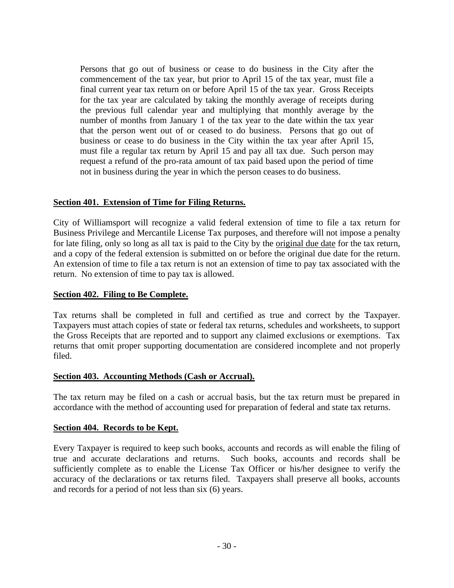Persons that go out of business or cease to do business in the City after the commencement of the tax year, but prior to April 15 of the tax year, must file a final current year tax return on or before April 15 of the tax year. Gross Receipts for the tax year are calculated by taking the monthly average of receipts during the previous full calendar year and multiplying that monthly average by the number of months from January 1 of the tax year to the date within the tax year that the person went out of or ceased to do business. Persons that go out of business or cease to do business in the City within the tax year after April 15, must file a regular tax return by April 15 and pay all tax due. Such person may request a refund of the pro-rata amount of tax paid based upon the period of time not in business during the year in which the person ceases to do business.

#### **Section 401. Extension of Time for Filing Returns.**

City of Williamsport will recognize a valid federal extension of time to file a tax return for Business Privilege and Mercantile License Tax purposes, and therefore will not impose a penalty for late filing, only so long as all tax is paid to the City by the original due date for the tax return, and a copy of the federal extension is submitted on or before the original due date for the return. An extension of time to file a tax return is not an extension of time to pay tax associated with the return. No extension of time to pay tax is allowed.

#### **Section 402. Filing to Be Complete.**

Tax returns shall be completed in full and certified as true and correct by the Taxpayer. Taxpayers must attach copies of state or federal tax returns, schedules and worksheets, to support the Gross Receipts that are reported and to support any claimed exclusions or exemptions. Tax returns that omit proper supporting documentation are considered incomplete and not properly filed.

#### **Section 403. Accounting Methods (Cash or Accrual).**

The tax return may be filed on a cash or accrual basis, but the tax return must be prepared in accordance with the method of accounting used for preparation of federal and state tax returns.

#### **Section 404. Records to be Kept.**

Every Taxpayer is required to keep such books, accounts and records as will enable the filing of true and accurate declarations and returns. Such books, accounts and records shall be sufficiently complete as to enable the License Tax Officer or his/her designee to verify the accuracy of the declarations or tax returns filed. Taxpayers shall preserve all books, accounts and records for a period of not less than six (6) years.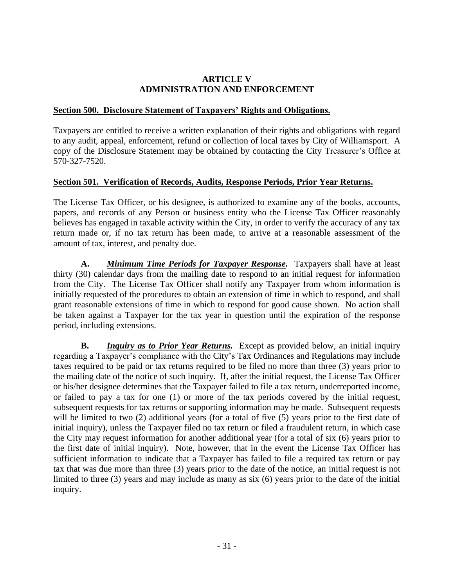#### **ARTICLE V ADMINISTRATION AND ENFORCEMENT**

## **Section 500. Disclosure Statement of Taxpayers' Rights and Obligations.**

Taxpayers are entitled to receive a written explanation of their rights and obligations with regard to any audit, appeal, enforcement, refund or collection of local taxes by City of Williamsport. A copy of the Disclosure Statement may be obtained by contacting the City Treasurer's Office at 570-327-7520.

#### **Section 501. Verification of Records, Audits, Response Periods, Prior Year Returns.**

The License Tax Officer, or his designee, is authorized to examine any of the books, accounts, papers, and records of any Person or business entity who the License Tax Officer reasonably believes has engaged in taxable activity within the City, in order to verify the accuracy of any tax return made or, if no tax return has been made, to arrive at a reasonable assessment of the amount of tax, interest, and penalty due.

**A.** *Minimum Time Periods for Taxpayer Response.* Taxpayers shall have at least thirty (30) calendar days from the mailing date to respond to an initial request for information from the City. The License Tax Officer shall notify any Taxpayer from whom information is initially requested of the procedures to obtain an extension of time in which to respond, and shall grant reasonable extensions of time in which to respond for good cause shown. No action shall be taken against a Taxpayer for the tax year in question until the expiration of the response period, including extensions.

**B.** *Inquiry as to Prior Year Returns.* Except as provided below, an initial inquiry regarding a Taxpayer's compliance with the City's Tax Ordinances and Regulations may include taxes required to be paid or tax returns required to be filed no more than three (3) years prior to the mailing date of the notice of such inquiry. If, after the initial request, the License Tax Officer or his/her designee determines that the Taxpayer failed to file a tax return, underreported income, or failed to pay a tax for one (1) or more of the tax periods covered by the initial request, subsequent requests for tax returns or supporting information may be made. Subsequent requests will be limited to two (2) additional years (for a total of five (5) years prior to the first date of initial inquiry), unless the Taxpayer filed no tax return or filed a fraudulent return, in which case the City may request information for another additional year (for a total of six (6) years prior to the first date of initial inquiry). Note, however, that in the event the License Tax Officer has sufficient information to indicate that a Taxpayer has failed to file a required tax return or pay tax that was due more than three (3) years prior to the date of the notice, an initial request is not limited to three (3) years and may include as many as six (6) years prior to the date of the initial inquiry.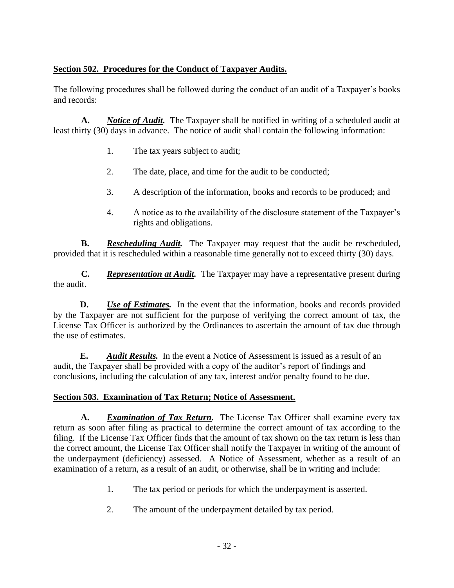## **Section 502. Procedures for the Conduct of Taxpayer Audits.**

The following procedures shall be followed during the conduct of an audit of a Taxpayer's books and records:

**A.** *Notice of Audit.* The Taxpayer shall be notified in writing of a scheduled audit at least thirty (30) days in advance. The notice of audit shall contain the following information:

- 1. The tax years subject to audit;
- 2. The date, place, and time for the audit to be conducted;
- 3. A description of the information, books and records to be produced; and
- 4. A notice as to the availability of the disclosure statement of the Taxpayer's rights and obligations.

**B.** *Rescheduling Audit.* The Taxpayer may request that the audit be rescheduled, provided that it is rescheduled within a reasonable time generally not to exceed thirty (30) days.

**C.** *Representation at Audit.* The Taxpayer may have a representative present during the audit.

**D.** *Use of Estimates.* In the event that the information, books and records provided by the Taxpayer are not sufficient for the purpose of verifying the correct amount of tax, the License Tax Officer is authorized by the Ordinances to ascertain the amount of tax due through the use of estimates.

**E.** *Audit Results.* In the event a Notice of Assessment is issued as a result of an audit, the Taxpayer shall be provided with a copy of the auditor's report of findings and conclusions, including the calculation of any tax, interest and/or penalty found to be due.

## **Section 503. Examination of Tax Return; Notice of Assessment.**

**A.** *Examination of Tax Return.* The License Tax Officer shall examine every tax return as soon after filing as practical to determine the correct amount of tax according to the filing. If the License Tax Officer finds that the amount of tax shown on the tax return is less than the correct amount, the License Tax Officer shall notify the Taxpayer in writing of the amount of the underpayment (deficiency) assessed. A Notice of Assessment, whether as a result of an examination of a return, as a result of an audit, or otherwise, shall be in writing and include:

- 1. The tax period or periods for which the underpayment is asserted.
- 2. The amount of the underpayment detailed by tax period.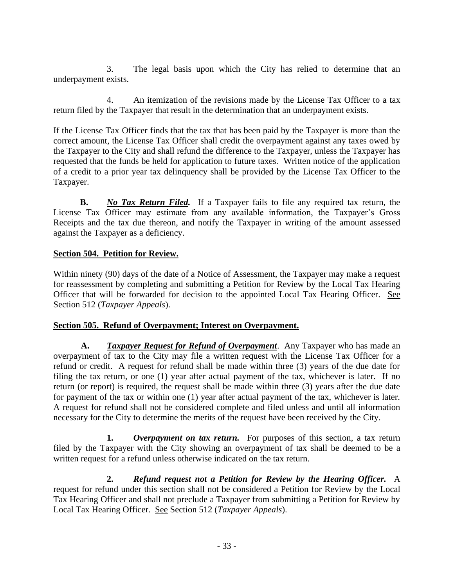3. The legal basis upon which the City has relied to determine that an underpayment exists.

4. An itemization of the revisions made by the License Tax Officer to a tax return filed by the Taxpayer that result in the determination that an underpayment exists.

If the License Tax Officer finds that the tax that has been paid by the Taxpayer is more than the correct amount, the License Tax Officer shall credit the overpayment against any taxes owed by the Taxpayer to the City and shall refund the difference to the Taxpayer, unless the Taxpayer has requested that the funds be held for application to future taxes. Written notice of the application of a credit to a prior year tax delinquency shall be provided by the License Tax Officer to the Taxpayer.

**B.** *No Tax Return Filed.* If a Taxpayer fails to file any required tax return, the License Tax Officer may estimate from any available information, the Taxpayer's Gross Receipts and the tax due thereon, and notify the Taxpayer in writing of the amount assessed against the Taxpayer as a deficiency.

## **Section 504. Petition for Review.**

Within ninety (90) days of the date of a Notice of Assessment, the Taxpayer may make a request for reassessment by completing and submitting a Petition for Review by the Local Tax Hearing Officer that will be forwarded for decision to the appointed Local Tax Hearing Officer. See Section 512 (*Taxpayer Appeals*).

## **Section 505. Refund of Overpayment; Interest on Overpayment.**

**A.** *Taxpayer Request for Refund of Overpayment*. Any Taxpayer who has made an overpayment of tax to the City may file a written request with the License Tax Officer for a refund or credit. A request for refund shall be made within three (3) years of the due date for filing the tax return, or one (1) year after actual payment of the tax, whichever is later. If no return (or report) is required, the request shall be made within three (3) years after the due date for payment of the tax or within one (1) year after actual payment of the tax, whichever is later. A request for refund shall not be considered complete and filed unless and until all information necessary for the City to determine the merits of the request have been received by the City.

**1.** *Overpayment on tax return.* For purposes of this section, a tax return filed by the Taxpayer with the City showing an overpayment of tax shall be deemed to be a written request for a refund unless otherwise indicated on the tax return.

**2.** *Refund request not a Petition for Review by the Hearing Officer.* A request for refund under this section shall not be considered a Petition for Review by the Local Tax Hearing Officer and shall not preclude a Taxpayer from submitting a Petition for Review by Local Tax Hearing Officer. See Section 512 (*Taxpayer Appeals*).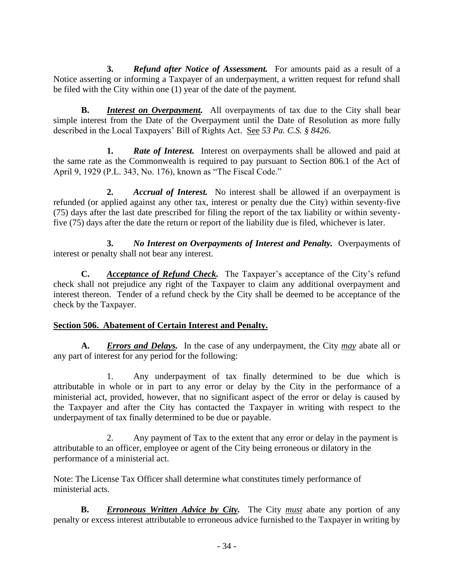**3.** *Refund after Notice of Assessment.* For amounts paid as a result of a Notice asserting or informing a Taxpayer of an underpayment, a written request for refund shall be filed with the City within one (1) year of the date of the payment.

**B.** *Interest on Overpayment.* All overpayments of tax due to the City shall bear simple interest from the Date of the Overpayment until the Date of Resolution as more fully described in the Local Taxpayers' Bill of Rights Act. See *53 Pa. C.S. § 8426*.

**1.** *Rate of Interest.* Interest on overpayments shall be allowed and paid at the same rate as the Commonwealth is required to pay pursuant to Section 806.1 of the Act of April 9, 1929 (P.L. 343, No. 176), known as "The Fiscal Code."

**2.** *Accrual of Interest.* No interest shall be allowed if an overpayment is refunded (or applied against any other tax, interest or penalty due the City) within seventy-five (75) days after the last date prescribed for filing the report of the tax liability or within seventyfive (75) days after the date the return or report of the liability due is filed, whichever is later.

**3.** *No Interest on Overpayments of Interest and Penalty.* Overpayments of interest or penalty shall not bear any interest.

**C.** *Acceptance of Refund Check.* The Taxpayer's acceptance of the City's refund check shall not prejudice any right of the Taxpayer to claim any additional overpayment and interest thereon. Tender of a refund check by the City shall be deemed to be acceptance of the check by the Taxpayer.

## **Section 506. Abatement of Certain Interest and Penalty.**

**A.** *Errors and Delays.* In the case of any underpayment, the City *may* abate all or any part of interest for any period for the following:

1. Any underpayment of tax finally determined to be due which is attributable in whole or in part to any error or delay by the City in the performance of a ministerial act, provided, however, that no significant aspect of the error or delay is caused by the Taxpayer and after the City has contacted the Taxpayer in writing with respect to the underpayment of tax finally determined to be due or payable.

2. Any payment of Tax to the extent that any error or delay in the payment is attributable to an officer, employee or agent of the City being erroneous or dilatory in the performance of a ministerial act.

Note: The License Tax Officer shall determine what constitutes timely performance of ministerial acts.

**B.** *Erroneous Written Advice by City.* The City *must* abate any portion of any penalty or excess interest attributable to erroneous advice furnished to the Taxpayer in writing by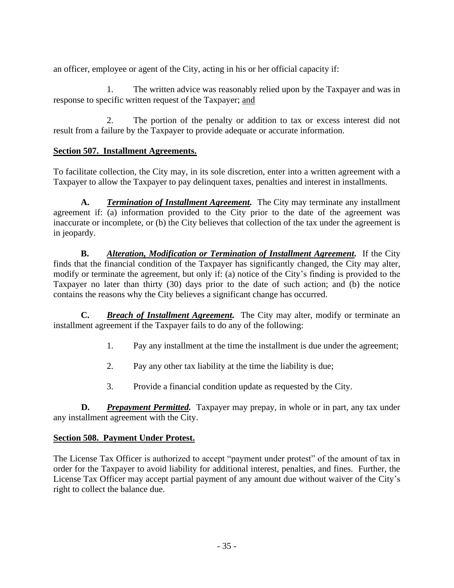an officer, employee or agent of the City, acting in his or her official capacity if:

1. The written advice was reasonably relied upon by the Taxpayer and was in response to specific written request of the Taxpayer; and

2. The portion of the penalty or addition to tax or excess interest did not result from a failure by the Taxpayer to provide adequate or accurate information.

## **Section 507. Installment Agreements.**

To facilitate collection, the City may, in its sole discretion, enter into a written agreement with a Taxpayer to allow the Taxpayer to pay delinquent taxes, penalties and interest in installments.

**A.** *Termination of Installment Agreement.* The City may terminate any installment agreement if: (a) information provided to the City prior to the date of the agreement was inaccurate or incomplete, or (b) the City believes that collection of the tax under the agreement is in jeopardy.

**B.** *Alteration, Modification or Termination of Installment Agreement.* If the City finds that the financial condition of the Taxpayer has significantly changed, the City may alter, modify or terminate the agreement, but only if: (a) notice of the City's finding is provided to the Taxpayer no later than thirty (30) days prior to the date of such action; and (b) the notice contains the reasons why the City believes a significant change has occurred.

**C.** *Breach of Installment Agreement.* The City may alter, modify or terminate an installment agreement if the Taxpayer fails to do any of the following:

- 1. Pay any installment at the time the installment is due under the agreement;
- 2. Pay any other tax liability at the time the liability is due;
- 3. Provide a financial condition update as requested by the City.

**D.** *Prepayment Permitted.* Taxpayer may prepay, in whole or in part, any tax under any installment agreement with the City.

## **Section 508. Payment Under Protest.**

The License Tax Officer is authorized to accept "payment under protest" of the amount of tax in order for the Taxpayer to avoid liability for additional interest, penalties, and fines. Further, the License Tax Officer may accept partial payment of any amount due without waiver of the City's right to collect the balance due.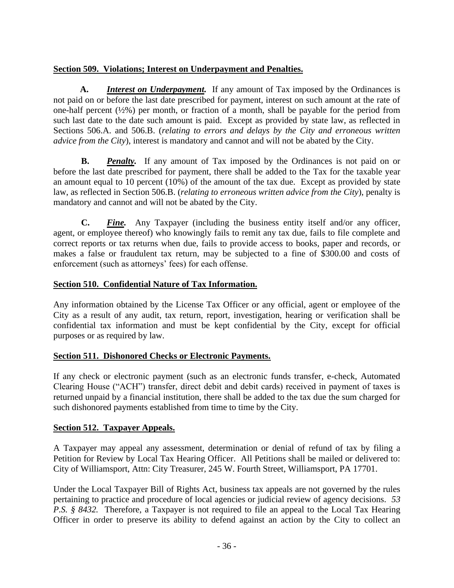## **Section 509. Violations; Interest on Underpayment and Penalties.**

**A.** *Interest on Underpayment.* If any amount of Tax imposed by the Ordinances is not paid on or before the last date prescribed for payment, interest on such amount at the rate of one-half percent (½%) per month, or fraction of a month, shall be payable for the period from such last date to the date such amount is paid. Except as provided by state law, as reflected in Sections 506.A. and 506.B. (*relating to errors and delays by the City and erroneous written advice from the City*), interest is mandatory and cannot and will not be abated by the City.

**B.** *Penalty.* If any amount of Tax imposed by the Ordinances is not paid on or before the last date prescribed for payment, there shall be added to the Tax for the taxable year an amount equal to 10 percent (10%) of the amount of the tax due. Except as provided by state law, as reflected in Section 506.B. (*relating to erroneous written advice from the City*), penalty is mandatory and cannot and will not be abated by the City.

**C.** *Fine.* Any Taxpayer (including the business entity itself and/or any officer, agent, or employee thereof) who knowingly fails to remit any tax due, fails to file complete and correct reports or tax returns when due, fails to provide access to books, paper and records, or makes a false or fraudulent tax return, may be subjected to a fine of \$300.00 and costs of enforcement (such as attorneys' fees) for each offense.

## **Section 510. Confidential Nature of Tax Information.**

Any information obtained by the License Tax Officer or any official, agent or employee of the City as a result of any audit, tax return, report, investigation, hearing or verification shall be confidential tax information and must be kept confidential by the City, except for official purposes or as required by law.

## **Section 511. Dishonored Checks or Electronic Payments.**

If any check or electronic payment (such as an electronic funds transfer, e-check, Automated Clearing House ("ACH") transfer, direct debit and debit cards) received in payment of taxes is returned unpaid by a financial institution, there shall be added to the tax due the sum charged for such dishonored payments established from time to time by the City.

## **Section 512. Taxpayer Appeals.**

A Taxpayer may appeal any assessment, determination or denial of refund of tax by filing a Petition for Review by Local Tax Hearing Officer. All Petitions shall be mailed or delivered to: City of Williamsport, Attn: City Treasurer, 245 W. Fourth Street, Williamsport, PA 17701.

Under the Local Taxpayer Bill of Rights Act, business tax appeals are not governed by the rules pertaining to practice and procedure of local agencies or judicial review of agency decisions. *53 P.S.* § 8432. Therefore, a Taxpayer is not required to file an appeal to the Local Tax Hearing Officer in order to preserve its ability to defend against an action by the City to collect an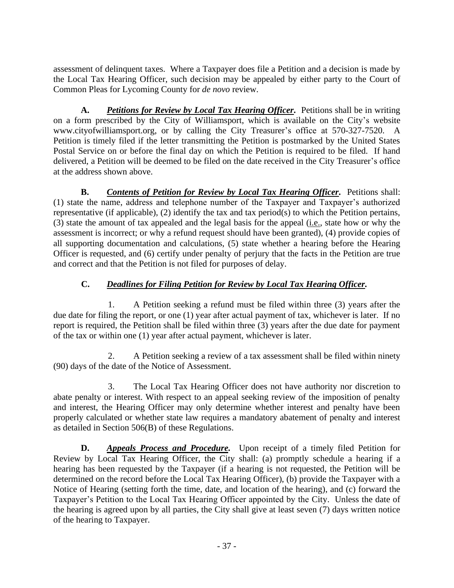assessment of delinquent taxes. Where a Taxpayer does file a Petition and a decision is made by the Local Tax Hearing Officer, such decision may be appealed by either party to the Court of Common Pleas for Lycoming County for *de novo* review.

**A.** *Petitions for Review by Local Tax Hearing Officer.* Petitions shall be in writing on a form prescribed by the City of Williamsport, which is available on the City's website www.cityofwilliamsport.org, or by calling the City Treasurer's office at 570-327-7520. A Petition is timely filed if the letter transmitting the Petition is postmarked by the United States Postal Service on or before the final day on which the Petition is required to be filed. If hand delivered, a Petition will be deemed to be filed on the date received in the City Treasurer's office at the address shown above.

**B.** *Contents of Petition for Review by Local Tax Hearing Officer.* Petitions shall: (1) state the name, address and telephone number of the Taxpayer and Taxpayer's authorized representative (if applicable), (2) identify the tax and tax period(s) to which the Petition pertains, (3) state the amount of tax appealed and the legal basis for the appeal (i.e., state how or why the assessment is incorrect; or why a refund request should have been granted), (4) provide copies of all supporting documentation and calculations, (5) state whether a hearing before the Hearing Officer is requested, and (6) certify under penalty of perjury that the facts in the Petition are true and correct and that the Petition is not filed for purposes of delay.

## **C.** *Deadlines for Filing Petition for Review by Local Tax Hearing Officer.*

1. A Petition seeking a refund must be filed within three (3) years after the due date for filing the report, or one (1) year after actual payment of tax, whichever is later. If no report is required, the Petition shall be filed within three (3) years after the due date for payment of the tax or within one (1) year after actual payment, whichever is later.

2. A Petition seeking a review of a tax assessment shall be filed within ninety (90) days of the date of the Notice of Assessment.

3. The Local Tax Hearing Officer does not have authority nor discretion to abate penalty or interest. With respect to an appeal seeking review of the imposition of penalty and interest, the Hearing Officer may only determine whether interest and penalty have been properly calculated or whether state law requires a mandatory abatement of penalty and interest as detailed in Section 506(B) of these Regulations.

**D.** *Appeals Process and Procedure.* Upon receipt of a timely filed Petition for Review by Local Tax Hearing Officer, the City shall: (a) promptly schedule a hearing if a hearing has been requested by the Taxpayer (if a hearing is not requested, the Petition will be determined on the record before the Local Tax Hearing Officer), (b) provide the Taxpayer with a Notice of Hearing (setting forth the time, date, and location of the hearing), and (c) forward the Taxpayer's Petition to the Local Tax Hearing Officer appointed by the City. Unless the date of the hearing is agreed upon by all parties, the City shall give at least seven (7) days written notice of the hearing to Taxpayer.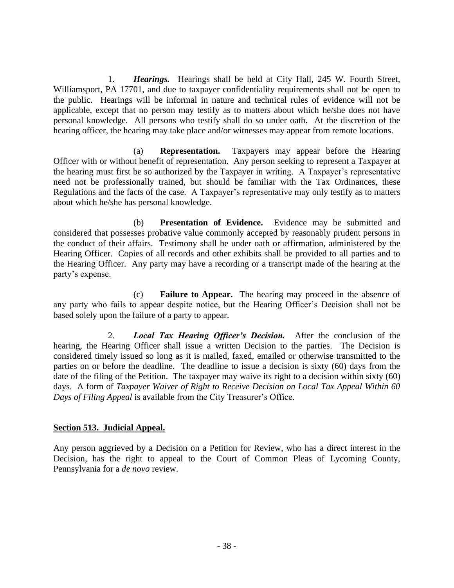1. *Hearings.* Hearings shall be held at City Hall, 245 W. Fourth Street, Williamsport, PA 17701, and due to taxpayer confidentiality requirements shall not be open to the public. Hearings will be informal in nature and technical rules of evidence will not be applicable, except that no person may testify as to matters about which he/she does not have personal knowledge. All persons who testify shall do so under oath. At the discretion of the hearing officer, the hearing may take place and/or witnesses may appear from remote locations.

(a) **Representation.** Taxpayers may appear before the Hearing Officer with or without benefit of representation. Any person seeking to represent a Taxpayer at the hearing must first be so authorized by the Taxpayer in writing. A Taxpayer's representative need not be professionally trained, but should be familiar with the Tax Ordinances, these Regulations and the facts of the case. A Taxpayer's representative may only testify as to matters about which he/she has personal knowledge.

(b) **Presentation of Evidence.** Evidence may be submitted and considered that possesses probative value commonly accepted by reasonably prudent persons in the conduct of their affairs. Testimony shall be under oath or affirmation, administered by the Hearing Officer. Copies of all records and other exhibits shall be provided to all parties and to the Hearing Officer. Any party may have a recording or a transcript made of the hearing at the party's expense.

(c) **Failure to Appear.** The hearing may proceed in the absence of any party who fails to appear despite notice, but the Hearing Officer's Decision shall not be based solely upon the failure of a party to appear.

2. *Local Tax Hearing Officer's Decision.* After the conclusion of the hearing, the Hearing Officer shall issue a written Decision to the parties. The Decision is considered timely issued so long as it is mailed, faxed, emailed or otherwise transmitted to the parties on or before the deadline. The deadline to issue a decision is sixty (60) days from the date of the filing of the Petition. The taxpayer may waive its right to a decision within sixty (60) days. A form of *Taxpayer Waiver of Right to Receive Decision on Local Tax Appeal Within 60 Days of Filing Appeal* is available from the City Treasurer's Office.

## **Section 513. Judicial Appeal.**

Any person aggrieved by a Decision on a Petition for Review, who has a direct interest in the Decision, has the right to appeal to the Court of Common Pleas of Lycoming County, Pennsylvania for a *de novo* review.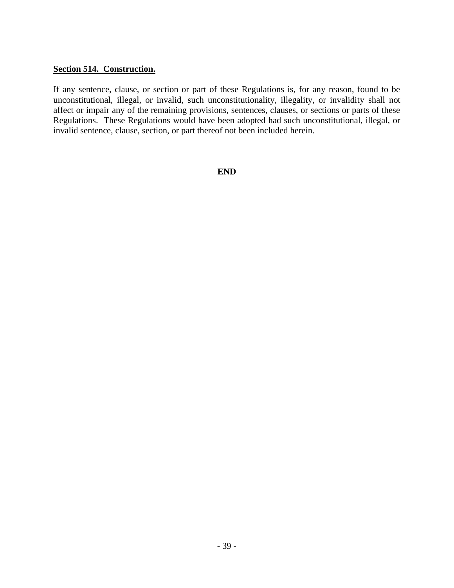#### **Section 514. Construction.**

If any sentence, clause, or section or part of these Regulations is, for any reason, found to be unconstitutional, illegal, or invalid, such unconstitutionality, illegality, or invalidity shall not affect or impair any of the remaining provisions, sentences, clauses, or sections or parts of these Regulations. These Regulations would have been adopted had such unconstitutional, illegal, or invalid sentence, clause, section, or part thereof not been included herein.

**END**